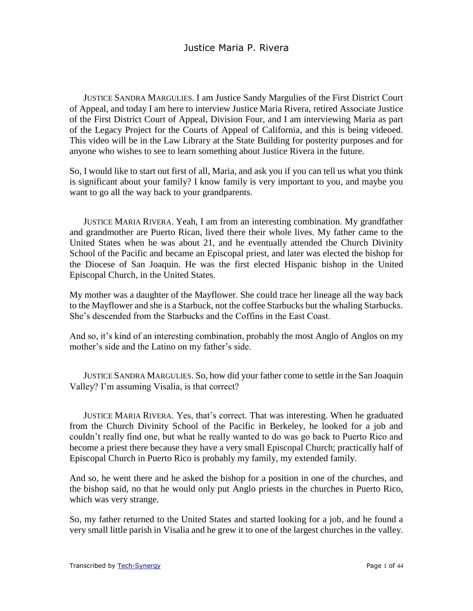JUSTICE SANDRA MARGULIES. I am Justice Sandy Margulies of the First District Court of Appeal, and today I am here to interview Justice Maria Rivera, retired Associate Justice of the First District Court of Appeal, Division Four, and I am interviewing Maria as part of the Legacy Project for the Courts of Appeal of California, and this is being videoed. This video will be in the Law Library at the State Building for posterity purposes and for anyone who wishes to see to learn something about Justice Rivera in the future.

So, I would like to start out first of all, Maria, and ask you if you can tell us what you think is significant about your family? I know family is very important to you, and maybe you want to go all the way back to your grandparents.

JUSTICE MARIA RIVERA. Yeah, I am from an interesting combination. My grandfather and grandmother are Puerto Rican, lived there their whole lives. My father came to the United States when he was about 21, and he eventually attended the Church Divinity School of the Pacific and became an Episcopal priest, and later was elected the bishop for the Diocese of San Joaquin. He was the first elected Hispanic bishop in the United Episcopal Church, in the United States.

My mother was a daughter of the Mayflower. She could trace her lineage all the way back to the Mayflower and she is a Starbuck, not the coffee Starbucks but the whaling Starbucks. She's descended from the Starbucks and the Coffins in the East Coast.

And so, it's kind of an interesting combination, probably the most Anglo of Anglos on my mother's side and the Latino on my father's side.

JUSTICE SANDRA MARGULIES. So, how did your father come to settle in the San Joaquin Valley? I'm assuming Visalia, is that correct?

JUSTICE MARIA RIVERA. Yes, that's correct. That was interesting. When he graduated from the Church Divinity School of the Pacific in Berkeley, he looked for a job and couldn't really find one, but what he really wanted to do was go back to Puerto Rico and become a priest there because they have a very small Episcopal Church; practically half of Episcopal Church in Puerto Rico is probably my family, my extended family.

And so, he went there and he asked the bishop for a position in one of the churches, and the bishop said, no that he would only put Anglo priests in the churches in Puerto Rico, which was very strange.

So, my father returned to the United States and started looking for a job, and he found a very small little parish in Visalia and he grew it to one of the largest churches in the valley.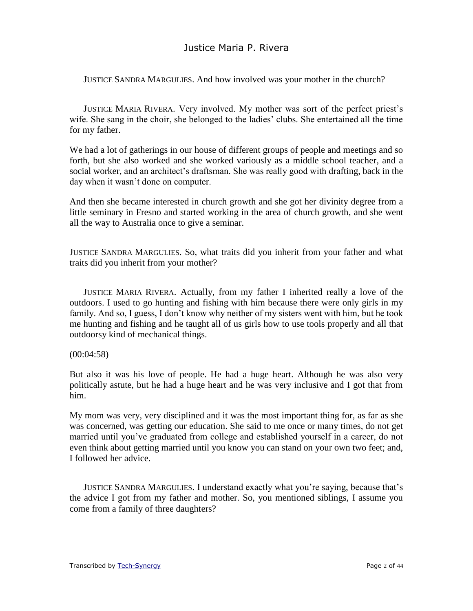JUSTICE SANDRA MARGULIES. And how involved was your mother in the church?

JUSTICE MARIA RIVERA. Very involved. My mother was sort of the perfect priest's wife. She sang in the choir, she belonged to the ladies' clubs. She entertained all the time for my father.

We had a lot of gatherings in our house of different groups of people and meetings and so forth, but she also worked and she worked variously as a middle school teacher, and a social worker, and an architect's draftsman. She was really good with drafting, back in the day when it wasn't done on computer.

And then she became interested in church growth and she got her divinity degree from a little seminary in Fresno and started working in the area of church growth, and she went all the way to Australia once to give a seminar.

JUSTICE SANDRA MARGULIES. So, what traits did you inherit from your father and what traits did you inherit from your mother?

JUSTICE MARIA RIVERA. Actually, from my father I inherited really a love of the outdoors. I used to go hunting and fishing with him because there were only girls in my family. And so, I guess, I don't know why neither of my sisters went with him, but he took me hunting and fishing and he taught all of us girls how to use tools properly and all that outdoorsy kind of mechanical things.

#### (00:04:58)

But also it was his love of people. He had a huge heart. Although he was also very politically astute, but he had a huge heart and he was very inclusive and I got that from him.

My mom was very, very disciplined and it was the most important thing for, as far as she was concerned, was getting our education. She said to me once or many times, do not get married until you've graduated from college and established yourself in a career, do not even think about getting married until you know you can stand on your own two feet; and, I followed her advice.

JUSTICE SANDRA MARGULIES. I understand exactly what you're saying, because that's the advice I got from my father and mother. So, you mentioned siblings, I assume you come from a family of three daughters?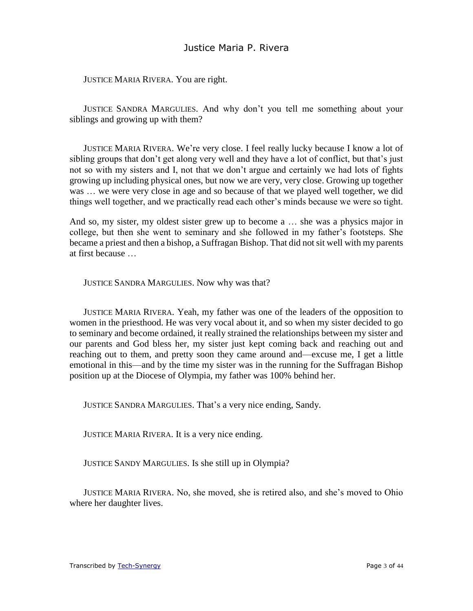JUSTICE MARIA RIVERA. You are right.

JUSTICE SANDRA MARGULIES. And why don't you tell me something about your siblings and growing up with them?

JUSTICE MARIA RIVERA. We're very close. I feel really lucky because I know a lot of sibling groups that don't get along very well and they have a lot of conflict, but that's just not so with my sisters and I, not that we don't argue and certainly we had lots of fights growing up including physical ones, but now we are very, very close. Growing up together was … we were very close in age and so because of that we played well together, we did things well together, and we practically read each other's minds because we were so tight.

And so, my sister, my oldest sister grew up to become a … she was a physics major in college, but then she went to seminary and she followed in my father's footsteps. She became a priest and then a bishop, a Suffragan Bishop. That did not sit well with my parents at first because …

JUSTICE SANDRA MARGULIES. Now why was that?

JUSTICE MARIA RIVERA. Yeah, my father was one of the leaders of the opposition to women in the priesthood. He was very vocal about it, and so when my sister decided to go to seminary and become ordained, it really strained the relationships between my sister and our parents and God bless her, my sister just kept coming back and reaching out and reaching out to them, and pretty soon they came around and—excuse me, I get a little emotional in this—and by the time my sister was in the running for the Suffragan Bishop position up at the Diocese of Olympia, my father was 100% behind her.

JUSTICE SANDRA MARGULIES. That's a very nice ending, Sandy.

JUSTICE MARIA RIVERA. It is a very nice ending.

JUSTICE SANDY MARGULIES. Is she still up in Olympia?

JUSTICE MARIA RIVERA. No, she moved, she is retired also, and she's moved to Ohio where her daughter lives.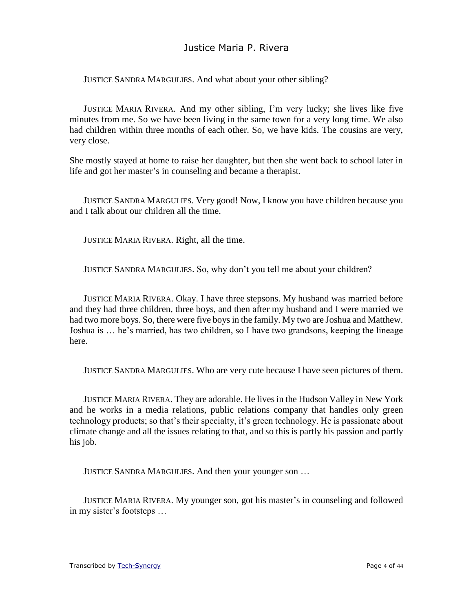JUSTICE SANDRA MARGULIES. And what about your other sibling?

JUSTICE MARIA RIVERA. And my other sibling, I'm very lucky; she lives like five minutes from me. So we have been living in the same town for a very long time. We also had children within three months of each other. So, we have kids. The cousins are very, very close.

She mostly stayed at home to raise her daughter, but then she went back to school later in life and got her master's in counseling and became a therapist.

JUSTICE SANDRA MARGULIES. Very good! Now, I know you have children because you and I talk about our children all the time.

JUSTICE MARIA RIVERA. Right, all the time.

JUSTICE SANDRA MARGULIES. So, why don't you tell me about your children?

JUSTICE MARIA RIVERA. Okay. I have three stepsons. My husband was married before and they had three children, three boys, and then after my husband and I were married we had two more boys. So, there were five boys in the family. My two are Joshua and Matthew. Joshua is … he's married, has two children, so I have two grandsons, keeping the lineage here.

JUSTICE SANDRA MARGULIES. Who are very cute because I have seen pictures of them.

JUSTICE MARIA RIVERA. They are adorable. He lives in the Hudson Valley in New York and he works in a media relations, public relations company that handles only green technology products; so that's their specialty, it's green technology. He is passionate about climate change and all the issues relating to that, and so this is partly his passion and partly his job.

JUSTICE SANDRA MARGULIES. And then your younger son …

JUSTICE MARIA RIVERA. My younger son, got his master's in counseling and followed in my sister's footsteps …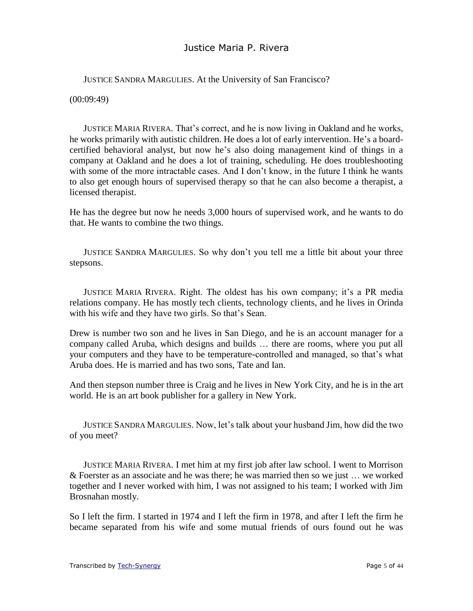JUSTICE SANDRA MARGULIES. At the University of San Francisco?

(00:09:49)

JUSTICE MARIA RIVERA. That's correct, and he is now living in Oakland and he works, he works primarily with autistic children. He does a lot of early intervention. He's a boardcertified behavioral analyst, but now he's also doing management kind of things in a company at Oakland and he does a lot of training, scheduling. He does troubleshooting with some of the more intractable cases. And I don't know, in the future I think he wants to also get enough hours of supervised therapy so that he can also become a therapist, a licensed therapist.

He has the degree but now he needs 3,000 hours of supervised work, and he wants to do that. He wants to combine the two things.

JUSTICE SANDRA MARGULIES. So why don't you tell me a little bit about your three stepsons.

JUSTICE MARIA RIVERA. Right. The oldest has his own company; it's a PR media relations company. He has mostly tech clients, technology clients, and he lives in Orinda with his wife and they have two girls. So that's Sean.

Drew is number two son and he lives in San Diego, and he is an account manager for a company called Aruba, which designs and builds … there are rooms, where you put all your computers and they have to be temperature-controlled and managed, so that's what Aruba does. He is married and has two sons, Tate and Ian.

And then stepson number three is Craig and he lives in New York City, and he is in the art world. He is an art book publisher for a gallery in New York.

JUSTICE SANDRA MARGULIES. Now, let's talk about your husband Jim, how did the two of you meet?

JUSTICE MARIA RIVERA. I met him at my first job after law school. I went to Morrison & Foerster as an associate and he was there; he was married then so we just … we worked together and I never worked with him, I was not assigned to his team; I worked with Jim Brosnahan mostly.

So I left the firm. I started in 1974 and I left the firm in 1978, and after I left the firm he became separated from his wife and some mutual friends of ours found out he was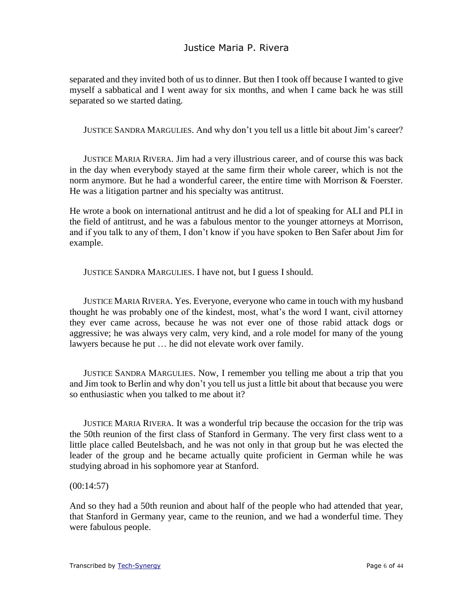separated and they invited both of us to dinner. But then I took off because I wanted to give myself a sabbatical and I went away for six months, and when I came back he was still separated so we started dating.

JUSTICE SANDRA MARGULIES. And why don't you tell us a little bit about Jim's career?

JUSTICE MARIA RIVERA. Jim had a very illustrious career, and of course this was back in the day when everybody stayed at the same firm their whole career, which is not the norm anymore. But he had a wonderful career, the entire time with Morrison & Foerster. He was a litigation partner and his specialty was antitrust.

He wrote a book on international antitrust and he did a lot of speaking for ALI and PLI in the field of antitrust, and he was a fabulous mentor to the younger attorneys at Morrison, and if you talk to any of them, I don't know if you have spoken to Ben Safer about Jim for example.

JUSTICE SANDRA MARGULIES. I have not, but I guess I should.

JUSTICE MARIA RIVERA. Yes. Everyone, everyone who came in touch with my husband thought he was probably one of the kindest, most, what's the word I want, civil attorney they ever came across, because he was not ever one of those rabid attack dogs or aggressive; he was always very calm, very kind, and a role model for many of the young lawyers because he put … he did not elevate work over family.

JUSTICE SANDRA MARGULIES. Now, I remember you telling me about a trip that you and Jim took to Berlin and why don't you tell us just a little bit about that because you were so enthusiastic when you talked to me about it?

JUSTICE MARIA RIVERA. It was a wonderful trip because the occasion for the trip was the 50th reunion of the first class of Stanford in Germany. The very first class went to a little place called Beutelsbach, and he was not only in that group but he was elected the leader of the group and he became actually quite proficient in German while he was studying abroad in his sophomore year at Stanford.

#### (00:14:57)

And so they had a 50th reunion and about half of the people who had attended that year, that Stanford in Germany year, came to the reunion, and we had a wonderful time. They were fabulous people.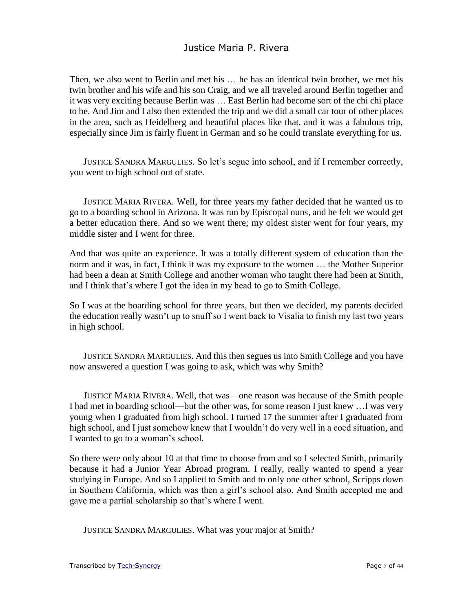Then, we also went to Berlin and met his … he has an identical twin brother, we met his twin brother and his wife and his son Craig, and we all traveled around Berlin together and it was very exciting because Berlin was … East Berlin had become sort of the chi chi place to be. And Jim and I also then extended the trip and we did a small car tour of other places in the area, such as Heidelberg and beautiful places like that, and it was a fabulous trip, especially since Jim is fairly fluent in German and so he could translate everything for us.

JUSTICE SANDRA MARGULIES. So let's segue into school, and if I remember correctly, you went to high school out of state.

JUSTICE MARIA RIVERA. Well, for three years my father decided that he wanted us to go to a boarding school in Arizona. It was run by Episcopal nuns, and he felt we would get a better education there. And so we went there; my oldest sister went for four years, my middle sister and I went for three.

And that was quite an experience. It was a totally different system of education than the norm and it was, in fact, I think it was my exposure to the women … the Mother Superior had been a dean at Smith College and another woman who taught there had been at Smith, and I think that's where I got the idea in my head to go to Smith College.

So I was at the boarding school for three years, but then we decided, my parents decided the education really wasn't up to snuff so I went back to Visalia to finish my last two years in high school.

JUSTICE SANDRA MARGULIES. And this then segues us into Smith College and you have now answered a question I was going to ask, which was why Smith?

JUSTICE MARIA RIVERA. Well, that was—one reason was because of the Smith people I had met in boarding school—but the other was, for some reason I just knew …I was very young when I graduated from high school. I turned 17 the summer after I graduated from high school, and I just somehow knew that I wouldn't do very well in a coed situation, and I wanted to go to a woman's school.

So there were only about 10 at that time to choose from and so I selected Smith, primarily because it had a Junior Year Abroad program. I really, really wanted to spend a year studying in Europe. And so I applied to Smith and to only one other school, Scripps down in Southern California, which was then a girl's school also. And Smith accepted me and gave me a partial scholarship so that's where I went.

JUSTICE SANDRA MARGULIES. What was your major at Smith?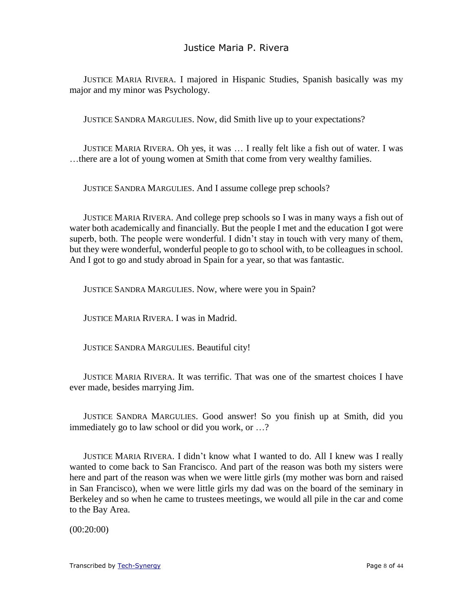JUSTICE MARIA RIVERA. I majored in Hispanic Studies, Spanish basically was my major and my minor was Psychology.

JUSTICE SANDRA MARGULIES. Now, did Smith live up to your expectations?

JUSTICE MARIA RIVERA. Oh yes, it was … I really felt like a fish out of water. I was …there are a lot of young women at Smith that come from very wealthy families.

JUSTICE SANDRA MARGULIES. And I assume college prep schools?

JUSTICE MARIA RIVERA. And college prep schools so I was in many ways a fish out of water both academically and financially. But the people I met and the education I got were superb, both. The people were wonderful. I didn't stay in touch with very many of them, but they were wonderful, wonderful people to go to school with, to be colleagues in school. And I got to go and study abroad in Spain for a year, so that was fantastic.

JUSTICE SANDRA MARGULIES. Now, where were you in Spain?

JUSTICE MARIA RIVERA. I was in Madrid.

JUSTICE SANDRA MARGULIES. Beautiful city!

JUSTICE MARIA RIVERA. It was terrific. That was one of the smartest choices I have ever made, besides marrying Jim.

JUSTICE SANDRA MARGULIES. Good answer! So you finish up at Smith, did you immediately go to law school or did you work, or …?

JUSTICE MARIA RIVERA. I didn't know what I wanted to do. All I knew was I really wanted to come back to San Francisco. And part of the reason was both my sisters were here and part of the reason was when we were little girls (my mother was born and raised in San Francisco), when we were little girls my dad was on the board of the seminary in Berkeley and so when he came to trustees meetings, we would all pile in the car and come to the Bay Area.

(00:20:00)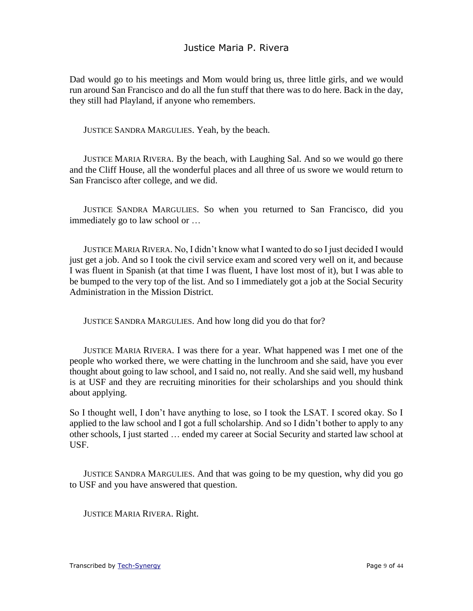Dad would go to his meetings and Mom would bring us, three little girls, and we would run around San Francisco and do all the fun stuff that there was to do here. Back in the day, they still had Playland, if anyone who remembers.

JUSTICE SANDRA MARGULIES. Yeah, by the beach.

JUSTICE MARIA RIVERA. By the beach, with Laughing Sal. And so we would go there and the Cliff House, all the wonderful places and all three of us swore we would return to San Francisco after college, and we did.

JUSTICE SANDRA MARGULIES. So when you returned to San Francisco, did you immediately go to law school or …

JUSTICE MARIA RIVERA. No, I didn't know what I wanted to do so I just decided I would just get a job. And so I took the civil service exam and scored very well on it, and because I was fluent in Spanish (at that time I was fluent, I have lost most of it), but I was able to be bumped to the very top of the list. And so I immediately got a job at the Social Security Administration in the Mission District.

JUSTICE SANDRA MARGULIES. And how long did you do that for?

JUSTICE MARIA RIVERA. I was there for a year. What happened was I met one of the people who worked there, we were chatting in the lunchroom and she said, have you ever thought about going to law school, and I said no, not really. And she said well, my husband is at USF and they are recruiting minorities for their scholarships and you should think about applying.

So I thought well, I don't have anything to lose, so I took the LSAT. I scored okay. So I applied to the law school and I got a full scholarship. And so I didn't bother to apply to any other schools, I just started … ended my career at Social Security and started law school at USF.

JUSTICE SANDRA MARGULIES. And that was going to be my question, why did you go to USF and you have answered that question.

JUSTICE MARIA RIVERA. Right.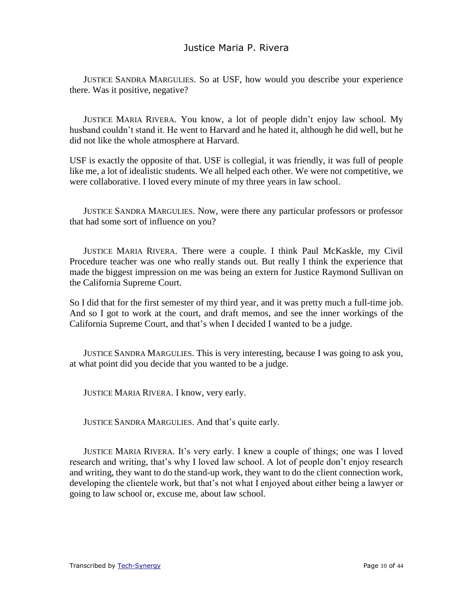JUSTICE SANDRA MARGULIES. So at USF, how would you describe your experience there. Was it positive, negative?

JUSTICE MARIA RIVERA. You know, a lot of people didn't enjoy law school. My husband couldn't stand it. He went to Harvard and he hated it, although he did well, but he did not like the whole atmosphere at Harvard.

USF is exactly the opposite of that. USF is collegial, it was friendly, it was full of people like me, a lot of idealistic students. We all helped each other. We were not competitive, we were collaborative. I loved every minute of my three years in law school.

JUSTICE SANDRA MARGULIES. Now, were there any particular professors or professor that had some sort of influence on you?

JUSTICE MARIA RIVERA. There were a couple. I think Paul McKaskle, my Civil Procedure teacher was one who really stands out. But really I think the experience that made the biggest impression on me was being an extern for Justice Raymond Sullivan on the California Supreme Court.

So I did that for the first semester of my third year, and it was pretty much a full-time job. And so I got to work at the court, and draft memos, and see the inner workings of the California Supreme Court, and that's when I decided I wanted to be a judge.

JUSTICE SANDRA MARGULIES. This is very interesting, because I was going to ask you, at what point did you decide that you wanted to be a judge.

JUSTICE MARIA RIVERA. I know, very early.

JUSTICE SANDRA MARGULIES. And that's quite early.

JUSTICE MARIA RIVERA. It's very early. I knew a couple of things; one was I loved research and writing, that's why I loved law school. A lot of people don't enjoy research and writing, they want to do the stand-up work, they want to do the client connection work, developing the clientele work, but that's not what I enjoyed about either being a lawyer or going to law school or, excuse me, about law school.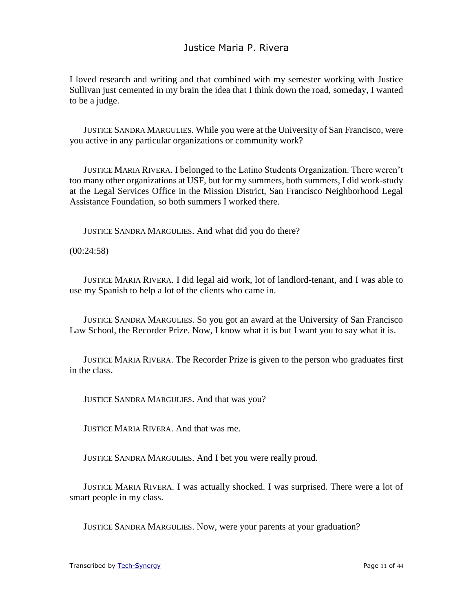I loved research and writing and that combined with my semester working with Justice Sullivan just cemented in my brain the idea that I think down the road, someday, I wanted to be a judge.

JUSTICE SANDRA MARGULIES. While you were at the University of San Francisco, were you active in any particular organizations or community work?

JUSTICE MARIA RIVERA. I belonged to the Latino Students Organization. There weren't too many other organizations at USF, but for my summers, both summers, I did work-study at the Legal Services Office in the Mission District, San Francisco Neighborhood Legal Assistance Foundation, so both summers I worked there.

JUSTICE SANDRA MARGULIES. And what did you do there?

(00:24:58)

JUSTICE MARIA RIVERA. I did legal aid work, lot of landlord-tenant, and I was able to use my Spanish to help a lot of the clients who came in.

JUSTICE SANDRA MARGULIES. So you got an award at the University of San Francisco Law School, the Recorder Prize. Now, I know what it is but I want you to say what it is.

JUSTICE MARIA RIVERA. The Recorder Prize is given to the person who graduates first in the class.

JUSTICE SANDRA MARGULIES. And that was you?

JUSTICE MARIA RIVERA. And that was me.

JUSTICE SANDRA MARGULIES. And I bet you were really proud.

JUSTICE MARIA RIVERA. I was actually shocked. I was surprised. There were a lot of smart people in my class.

JUSTICE SANDRA MARGULIES. Now, were your parents at your graduation?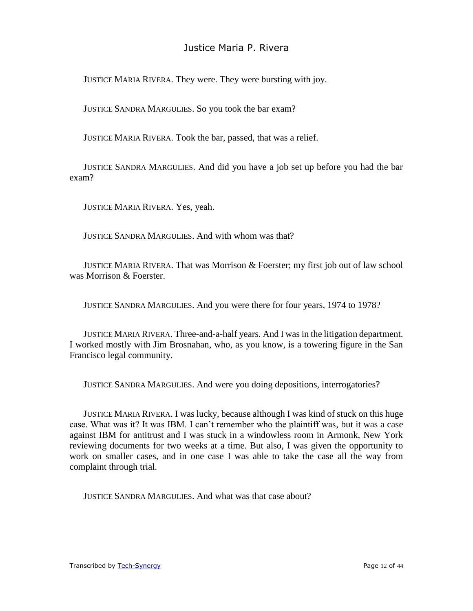JUSTICE MARIA RIVERA. They were. They were bursting with joy.

JUSTICE SANDRA MARGULIES. So you took the bar exam?

JUSTICE MARIA RIVERA. Took the bar, passed, that was a relief.

JUSTICE SANDRA MARGULIES. And did you have a job set up before you had the bar exam?

JUSTICE MARIA RIVERA. Yes, yeah.

JUSTICE SANDRA MARGULIES. And with whom was that?

JUSTICE MARIA RIVERA. That was Morrison & Foerster; my first job out of law school was Morrison & Foerster.

JUSTICE SANDRA MARGULIES. And you were there for four years, 1974 to 1978?

JUSTICE MARIA RIVERA. Three-and-a-half years. And I was in the litigation department. I worked mostly with Jim Brosnahan, who, as you know, is a towering figure in the San Francisco legal community.

JUSTICE SANDRA MARGULIES. And were you doing depositions, interrogatories?

JUSTICE MARIA RIVERA. I was lucky, because although I was kind of stuck on this huge case. What was it? It was IBM. I can't remember who the plaintiff was, but it was a case against IBM for antitrust and I was stuck in a windowless room in Armonk, New York reviewing documents for two weeks at a time. But also, I was given the opportunity to work on smaller cases, and in one case I was able to take the case all the way from complaint through trial.

JUSTICE SANDRA MARGULIES. And what was that case about?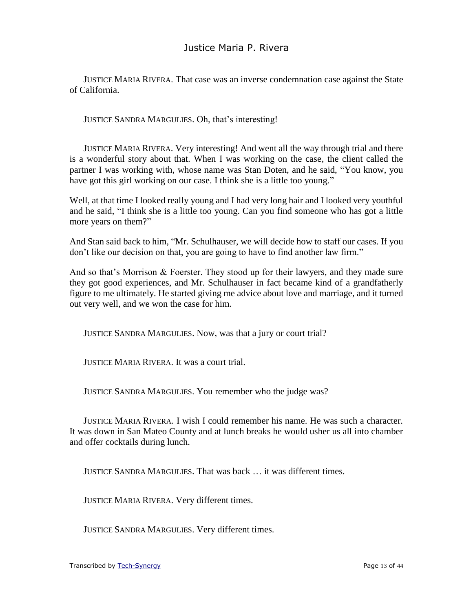JUSTICE MARIA RIVERA. That case was an inverse condemnation case against the State of California.

JUSTICE SANDRA MARGULIES. Oh, that's interesting!

JUSTICE MARIA RIVERA. Very interesting! And went all the way through trial and there is a wonderful story about that. When I was working on the case, the client called the partner I was working with, whose name was Stan Doten, and he said, "You know, you have got this girl working on our case. I think she is a little too young."

Well, at that time I looked really young and I had very long hair and I looked very youthful and he said, "I think she is a little too young. Can you find someone who has got a little more years on them?"

And Stan said back to him, "Mr. Schulhauser, we will decide how to staff our cases. If you don't like our decision on that, you are going to have to find another law firm."

And so that's Morrison & Foerster. They stood up for their lawyers, and they made sure they got good experiences, and Mr. Schulhauser in fact became kind of a grandfatherly figure to me ultimately. He started giving me advice about love and marriage, and it turned out very well, and we won the case for him.

JUSTICE SANDRA MARGULIES. Now, was that a jury or court trial?

JUSTICE MARIA RIVERA. It was a court trial.

JUSTICE SANDRA MARGULIES. You remember who the judge was?

JUSTICE MARIA RIVERA. I wish I could remember his name. He was such a character. It was down in San Mateo County and at lunch breaks he would usher us all into chamber and offer cocktails during lunch.

JUSTICE SANDRA MARGULIES. That was back … it was different times.

JUSTICE MARIA RIVERA. Very different times.

JUSTICE SANDRA MARGULIES. Very different times.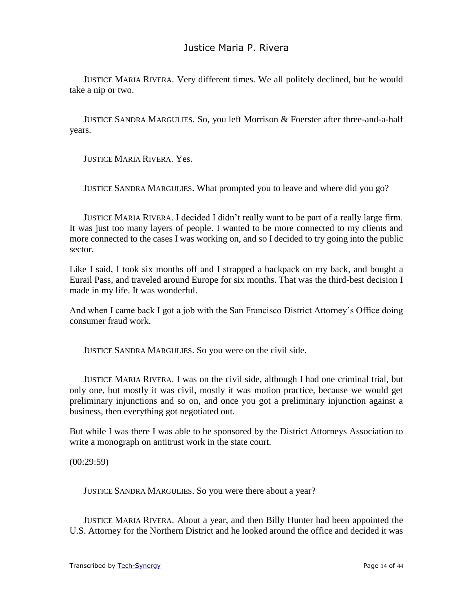JUSTICE MARIA RIVERA. Very different times. We all politely declined, but he would take a nip or two.

JUSTICE SANDRA MARGULIES. So, you left Morrison & Foerster after three-and-a-half years.

JUSTICE MARIA RIVERA. Yes.

JUSTICE SANDRA MARGULIES. What prompted you to leave and where did you go?

JUSTICE MARIA RIVERA. I decided I didn't really want to be part of a really large firm. It was just too many layers of people. I wanted to be more connected to my clients and more connected to the cases I was working on, and so I decided to try going into the public sector.

Like I said, I took six months off and I strapped a backpack on my back, and bought a Eurail Pass, and traveled around Europe for six months. That was the third-best decision I made in my life. It was wonderful.

And when I came back I got a job with the San Francisco District Attorney's Office doing consumer fraud work.

JUSTICE SANDRA MARGULIES. So you were on the civil side.

JUSTICE MARIA RIVERA. I was on the civil side, although I had one criminal trial, but only one, but mostly it was civil, mostly it was motion practice, because we would get preliminary injunctions and so on, and once you got a preliminary injunction against a business, then everything got negotiated out.

But while I was there I was able to be sponsored by the District Attorneys Association to write a monograph on antitrust work in the state court.

(00:29:59)

JUSTICE SANDRA MARGULIES. So you were there about a year?

JUSTICE MARIA RIVERA. About a year, and then Billy Hunter had been appointed the U.S. Attorney for the Northern District and he looked around the office and decided it was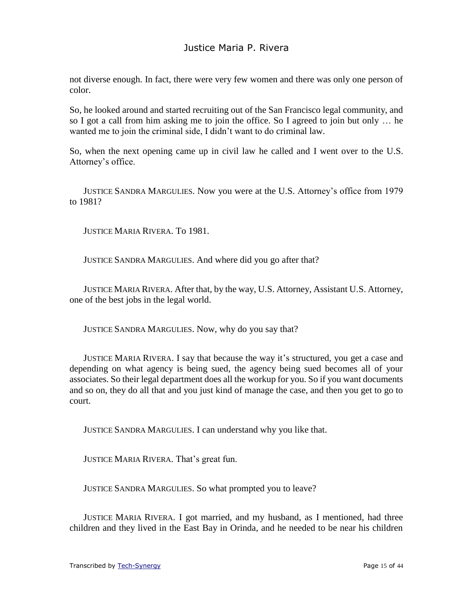not diverse enough. In fact, there were very few women and there was only one person of color.

So, he looked around and started recruiting out of the San Francisco legal community, and so I got a call from him asking me to join the office. So I agreed to join but only … he wanted me to join the criminal side, I didn't want to do criminal law.

So, when the next opening came up in civil law he called and I went over to the U.S. Attorney's office.

JUSTICE SANDRA MARGULIES. Now you were at the U.S. Attorney's office from 1979 to 1981?

JUSTICE MARIA RIVERA. To 1981.

JUSTICE SANDRA MARGULIES. And where did you go after that?

JUSTICE MARIA RIVERA. After that, by the way, U.S. Attorney, Assistant U.S. Attorney, one of the best jobs in the legal world.

JUSTICE SANDRA MARGULIES. Now, why do you say that?

JUSTICE MARIA RIVERA. I say that because the way it's structured, you get a case and depending on what agency is being sued, the agency being sued becomes all of your associates. So their legal department does all the workup for you. So if you want documents and so on, they do all that and you just kind of manage the case, and then you get to go to court.

JUSTICE SANDRA MARGULIES. I can understand why you like that.

JUSTICE MARIA RIVERA. That's great fun.

JUSTICE SANDRA MARGULIES. So what prompted you to leave?

JUSTICE MARIA RIVERA. I got married, and my husband, as I mentioned, had three children and they lived in the East Bay in Orinda, and he needed to be near his children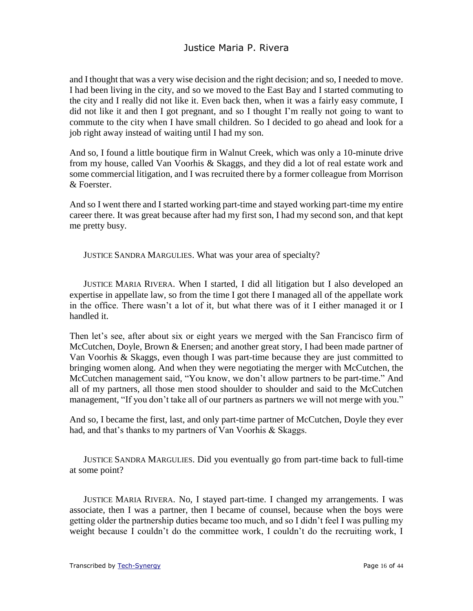and I thought that was a very wise decision and the right decision; and so, I needed to move. I had been living in the city, and so we moved to the East Bay and I started commuting to the city and I really did not like it. Even back then, when it was a fairly easy commute, I did not like it and then I got pregnant, and so I thought I'm really not going to want to commute to the city when I have small children. So I decided to go ahead and look for a job right away instead of waiting until I had my son.

And so, I found a little boutique firm in Walnut Creek, which was only a 10-minute drive from my house, called Van Voorhis & Skaggs, and they did a lot of real estate work and some commercial litigation, and I was recruited there by a former colleague from Morrison & Foerster.

And so I went there and I started working part-time and stayed working part-time my entire career there. It was great because after had my first son, I had my second son, and that kept me pretty busy.

JUSTICE SANDRA MARGULIES. What was your area of specialty?

JUSTICE MARIA RIVERA. When I started, I did all litigation but I also developed an expertise in appellate law, so from the time I got there I managed all of the appellate work in the office. There wasn't a lot of it, but what there was of it I either managed it or I handled it.

Then let's see, after about six or eight years we merged with the San Francisco firm of McCutchen, Doyle, Brown & Enersen; and another great story, I had been made partner of Van Voorhis & Skaggs, even though I was part-time because they are just committed to bringing women along. And when they were negotiating the merger with McCutchen, the McCutchen management said, "You know, we don't allow partners to be part-time." And all of my partners, all those men stood shoulder to shoulder and said to the McCutchen management, "If you don't take all of our partners as partners we will not merge with you."

And so, I became the first, last, and only part-time partner of McCutchen, Doyle they ever had, and that's thanks to my partners of Van Voorhis & Skaggs.

JUSTICE SANDRA MARGULIES. Did you eventually go from part-time back to full-time at some point?

JUSTICE MARIA RIVERA. No, I stayed part-time. I changed my arrangements. I was associate, then I was a partner, then I became of counsel, because when the boys were getting older the partnership duties became too much, and so I didn't feel I was pulling my weight because I couldn't do the committee work, I couldn't do the recruiting work, I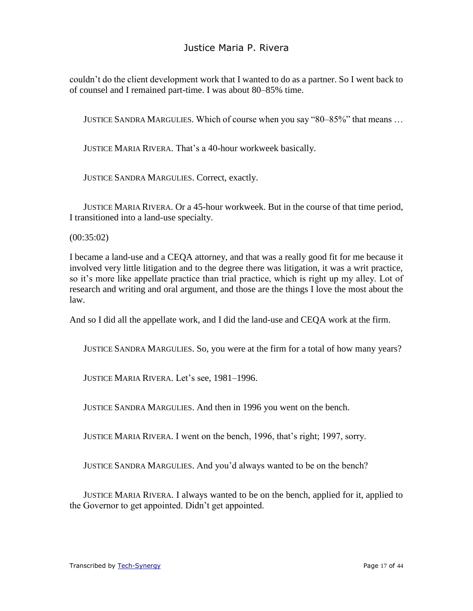couldn't do the client development work that I wanted to do as a partner. So I went back to of counsel and I remained part-time. I was about 80–85% time.

JUSTICE SANDRA MARGULIES. Which of course when you say "80–85%" that means …

JUSTICE MARIA RIVERA. That's a 40-hour workweek basically.

JUSTICE SANDRA MARGULIES. Correct, exactly.

JUSTICE MARIA RIVERA. Or a 45-hour workweek. But in the course of that time period, I transitioned into a land-use specialty.

#### (00:35:02)

I became a land-use and a CEQA attorney, and that was a really good fit for me because it involved very little litigation and to the degree there was litigation, it was a writ practice, so it's more like appellate practice than trial practice, which is right up my alley. Lot of research and writing and oral argument, and those are the things I love the most about the law.

And so I did all the appellate work, and I did the land-use and CEQA work at the firm.

JUSTICE SANDRA MARGULIES. So, you were at the firm for a total of how many years?

JUSTICE MARIA RIVERA. Let's see, 1981–1996.

JUSTICE SANDRA MARGULIES. And then in 1996 you went on the bench.

JUSTICE MARIA RIVERA. I went on the bench, 1996, that's right; 1997, sorry.

JUSTICE SANDRA MARGULIES. And you'd always wanted to be on the bench?

JUSTICE MARIA RIVERA. I always wanted to be on the bench, applied for it, applied to the Governor to get appointed. Didn't get appointed.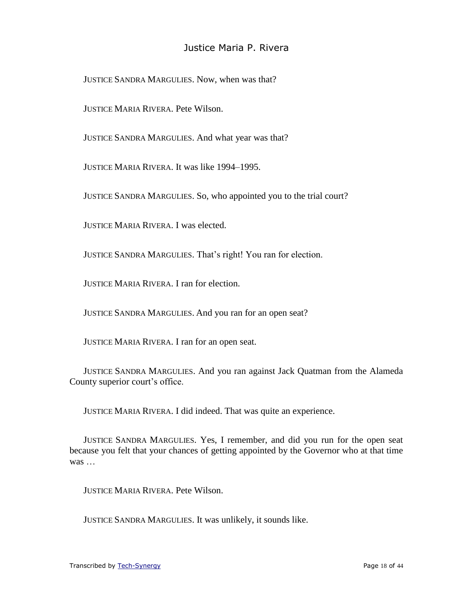JUSTICE SANDRA MARGULIES. Now, when was that?

JUSTICE MARIA RIVERA. Pete Wilson.

JUSTICE SANDRA MARGULIES. And what year was that?

JUSTICE MARIA RIVERA. It was like 1994–1995.

JUSTICE SANDRA MARGULIES. So, who appointed you to the trial court?

JUSTICE MARIA RIVERA. I was elected.

JUSTICE SANDRA MARGULIES. That's right! You ran for election.

JUSTICE MARIA RIVERA. I ran for election.

JUSTICE SANDRA MARGULIES. And you ran for an open seat?

JUSTICE MARIA RIVERA. I ran for an open seat.

JUSTICE SANDRA MARGULIES. And you ran against Jack Quatman from the Alameda County superior court's office.

JUSTICE MARIA RIVERA. I did indeed. That was quite an experience.

JUSTICE SANDRA MARGULIES. Yes, I remember, and did you run for the open seat because you felt that your chances of getting appointed by the Governor who at that time was …

JUSTICE MARIA RIVERA. Pete Wilson.

JUSTICE SANDRA MARGULIES. It was unlikely, it sounds like.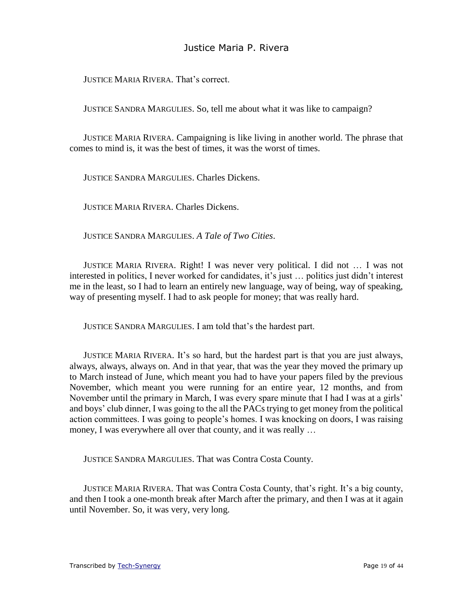JUSTICE MARIA RIVERA. That's correct.

JUSTICE SANDRA MARGULIES. So, tell me about what it was like to campaign?

JUSTICE MARIA RIVERA. Campaigning is like living in another world. The phrase that comes to mind is, it was the best of times, it was the worst of times.

JUSTICE SANDRA MARGULIES. Charles Dickens.

JUSTICE MARIA RIVERA. Charles Dickens.

JUSTICE SANDRA MARGULIES. *A Tale of Two Cities*.

JUSTICE MARIA RIVERA. Right! I was never very political. I did not … I was not interested in politics, I never worked for candidates, it's just … politics just didn't interest me in the least, so I had to learn an entirely new language, way of being, way of speaking, way of presenting myself. I had to ask people for money; that was really hard.

JUSTICE SANDRA MARGULIES. I am told that's the hardest part.

JUSTICE MARIA RIVERA. It's so hard, but the hardest part is that you are just always, always, always, always on. And in that year, that was the year they moved the primary up to March instead of June, which meant you had to have your papers filed by the previous November, which meant you were running for an entire year, 12 months, and from November until the primary in March, I was every spare minute that I had I was at a girls' and boys' club dinner, I was going to the all the PACs trying to get money from the political action committees. I was going to people's homes. I was knocking on doors, I was raising money, I was everywhere all over that county, and it was really …

JUSTICE SANDRA MARGULIES. That was Contra Costa County.

JUSTICE MARIA RIVERA. That was Contra Costa County, that's right. It's a big county, and then I took a one-month break after March after the primary, and then I was at it again until November. So, it was very, very long.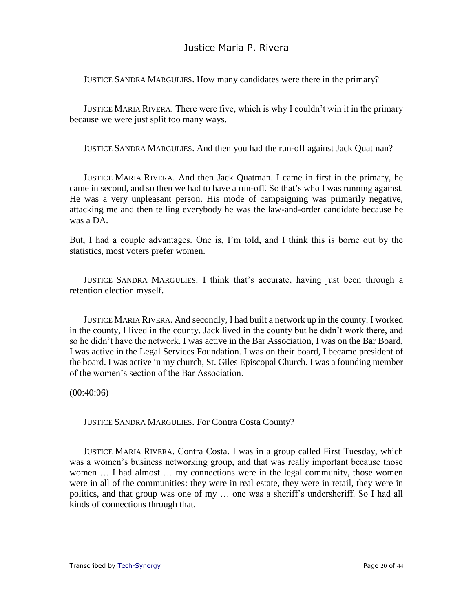JUSTICE SANDRA MARGULIES. How many candidates were there in the primary?

JUSTICE MARIA RIVERA. There were five, which is why I couldn't win it in the primary because we were just split too many ways.

JUSTICE SANDRA MARGULIES. And then you had the run-off against Jack Quatman?

JUSTICE MARIA RIVERA. And then Jack Quatman. I came in first in the primary, he came in second, and so then we had to have a run-off. So that's who I was running against. He was a very unpleasant person. His mode of campaigning was primarily negative, attacking me and then telling everybody he was the law-and-order candidate because he was a DA.

But, I had a couple advantages. One is, I'm told, and I think this is borne out by the statistics, most voters prefer women.

JUSTICE SANDRA MARGULIES. I think that's accurate, having just been through a retention election myself.

JUSTICE MARIA RIVERA. And secondly, I had built a network up in the county. I worked in the county, I lived in the county. Jack lived in the county but he didn't work there, and so he didn't have the network. I was active in the Bar Association, I was on the Bar Board, I was active in the Legal Services Foundation. I was on their board, I became president of the board. I was active in my church, St. Giles Episcopal Church. I was a founding member of the women's section of the Bar Association.

 $(00:40:06)$ 

JUSTICE SANDRA MARGULIES. For Contra Costa County?

JUSTICE MARIA RIVERA. Contra Costa. I was in a group called First Tuesday, which was a women's business networking group, and that was really important because those women … I had almost … my connections were in the legal community, those women were in all of the communities: they were in real estate, they were in retail, they were in politics, and that group was one of my … one was a sheriff's undersheriff. So I had all kinds of connections through that.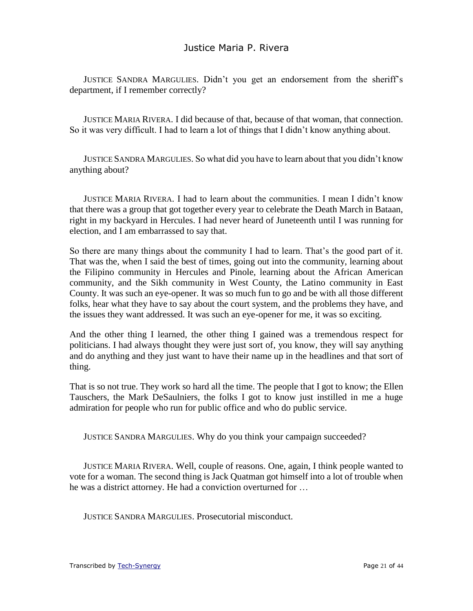JUSTICE SANDRA MARGULIES. Didn't you get an endorsement from the sheriff's department, if I remember correctly?

JUSTICE MARIA RIVERA. I did because of that, because of that woman, that connection. So it was very difficult. I had to learn a lot of things that I didn't know anything about.

JUSTICE SANDRA MARGULIES. So what did you have to learn about that you didn't know anything about?

JUSTICE MARIA RIVERA. I had to learn about the communities. I mean I didn't know that there was a group that got together every year to celebrate the Death March in Bataan, right in my backyard in Hercules. I had never heard of Juneteenth until I was running for election, and I am embarrassed to say that.

So there are many things about the community I had to learn. That's the good part of it. That was the, when I said the best of times, going out into the community, learning about the Filipino community in Hercules and Pinole, learning about the African American community, and the Sikh community in West County, the Latino community in East County. It was such an eye-opener. It was so much fun to go and be with all those different folks, hear what they have to say about the court system, and the problems they have, and the issues they want addressed. It was such an eye-opener for me, it was so exciting.

And the other thing I learned, the other thing I gained was a tremendous respect for politicians. I had always thought they were just sort of, you know, they will say anything and do anything and they just want to have their name up in the headlines and that sort of thing.

That is so not true. They work so hard all the time. The people that I got to know; the Ellen Tauschers, the Mark DeSaulniers, the folks I got to know just instilled in me a huge admiration for people who run for public office and who do public service.

JUSTICE SANDRA MARGULIES. Why do you think your campaign succeeded?

JUSTICE MARIA RIVERA. Well, couple of reasons. One, again, I think people wanted to vote for a woman. The second thing is Jack Quatman got himself into a lot of trouble when he was a district attorney. He had a conviction overturned for …

JUSTICE SANDRA MARGULIES. Prosecutorial misconduct.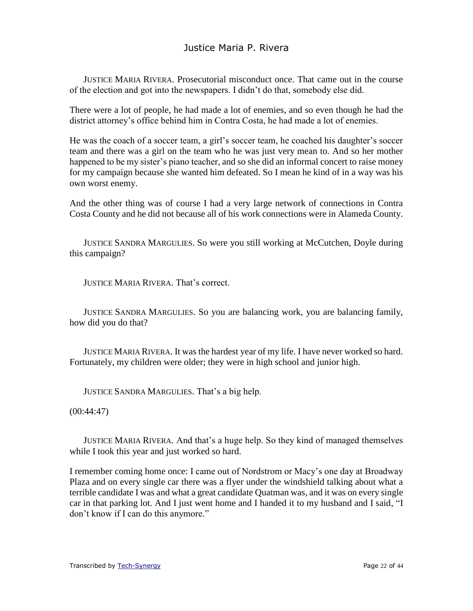JUSTICE MARIA RIVERA. Prosecutorial misconduct once. That came out in the course of the election and got into the newspapers. I didn't do that, somebody else did.

There were a lot of people, he had made a lot of enemies, and so even though he had the district attorney's office behind him in Contra Costa, he had made a lot of enemies.

He was the coach of a soccer team, a girl's soccer team, he coached his daughter's soccer team and there was a girl on the team who he was just very mean to. And so her mother happened to be my sister's piano teacher, and so she did an informal concert to raise money for my campaign because she wanted him defeated. So I mean he kind of in a way was his own worst enemy.

And the other thing was of course I had a very large network of connections in Contra Costa County and he did not because all of his work connections were in Alameda County.

JUSTICE SANDRA MARGULIES. So were you still working at McCutchen, Doyle during this campaign?

JUSTICE MARIA RIVERA. That's correct.

JUSTICE SANDRA MARGULIES. So you are balancing work, you are balancing family, how did you do that?

JUSTICE MARIA RIVERA. It was the hardest year of my life. I have never worked so hard. Fortunately, my children were older; they were in high school and junior high.

JUSTICE SANDRA MARGULIES. That's a big help.

 $(00:44:47)$ 

JUSTICE MARIA RIVERA. And that's a huge help. So they kind of managed themselves while I took this year and just worked so hard.

I remember coming home once: I came out of Nordstrom or Macy's one day at Broadway Plaza and on every single car there was a flyer under the windshield talking about what a terrible candidate I was and what a great candidate Quatman was, and it was on every single car in that parking lot. And I just went home and I handed it to my husband and I said, "I don't know if I can do this anymore."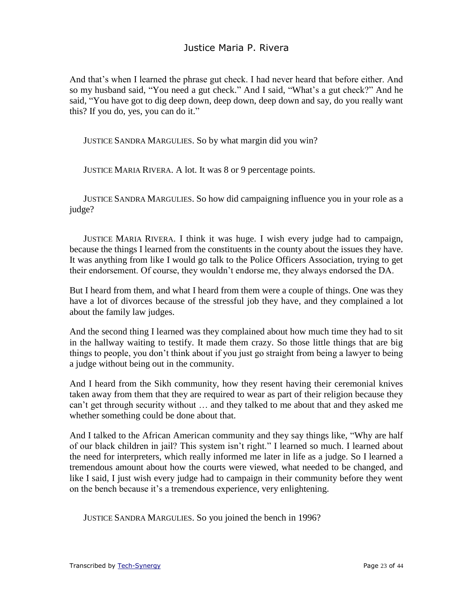And that's when I learned the phrase gut check. I had never heard that before either. And so my husband said, "You need a gut check." And I said, "What's a gut check?" And he said, "You have got to dig deep down, deep down, deep down and say, do you really want this? If you do, yes, you can do it."

JUSTICE SANDRA MARGULIES. So by what margin did you win?

JUSTICE MARIA RIVERA. A lot. It was 8 or 9 percentage points.

JUSTICE SANDRA MARGULIES. So how did campaigning influence you in your role as a judge?

JUSTICE MARIA RIVERA. I think it was huge. I wish every judge had to campaign, because the things I learned from the constituents in the county about the issues they have. It was anything from like I would go talk to the Police Officers Association, trying to get their endorsement. Of course, they wouldn't endorse me, they always endorsed the DA.

But I heard from them, and what I heard from them were a couple of things. One was they have a lot of divorces because of the stressful job they have, and they complained a lot about the family law judges.

And the second thing I learned was they complained about how much time they had to sit in the hallway waiting to testify. It made them crazy. So those little things that are big things to people, you don't think about if you just go straight from being a lawyer to being a judge without being out in the community.

And I heard from the Sikh community, how they resent having their ceremonial knives taken away from them that they are required to wear as part of their religion because they can't get through security without … and they talked to me about that and they asked me whether something could be done about that.

And I talked to the African American community and they say things like, "Why are half of our black children in jail? This system isn't right." I learned so much. I learned about the need for interpreters, which really informed me later in life as a judge. So I learned a tremendous amount about how the courts were viewed, what needed to be changed, and like I said, I just wish every judge had to campaign in their community before they went on the bench because it's a tremendous experience, very enlightening.

JUSTICE SANDRA MARGULIES. So you joined the bench in 1996?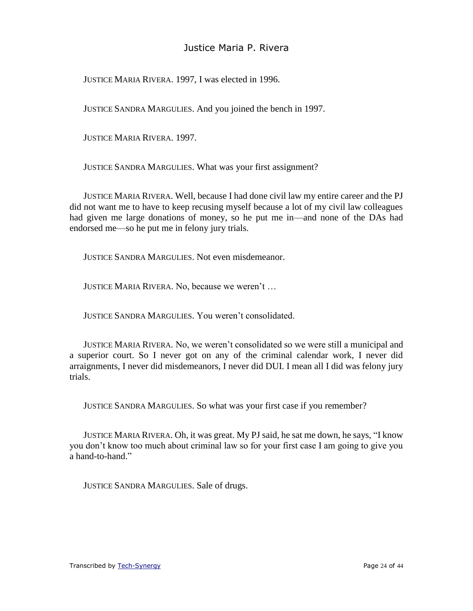JUSTICE MARIA RIVERA. 1997, I was elected in 1996.

JUSTICE SANDRA MARGULIES. And you joined the bench in 1997.

JUSTICE MARIA RIVERA. 1997.

JUSTICE SANDRA MARGULIES. What was your first assignment?

JUSTICE MARIA RIVERA. Well, because I had done civil law my entire career and the PJ did not want me to have to keep recusing myself because a lot of my civil law colleagues had given me large donations of money, so he put me in—and none of the DAs had endorsed me—so he put me in felony jury trials.

JUSTICE SANDRA MARGULIES. Not even misdemeanor.

JUSTICE MARIA RIVERA. No, because we weren't …

JUSTICE SANDRA MARGULIES. You weren't consolidated.

JUSTICE MARIA RIVERA. No, we weren't consolidated so we were still a municipal and a superior court. So I never got on any of the criminal calendar work, I never did arraignments, I never did misdemeanors, I never did DUI. I mean all I did was felony jury trials.

JUSTICE SANDRA MARGULIES. So what was your first case if you remember?

JUSTICE MARIA RIVERA. Oh, it was great. My PJ said, he sat me down, he says, "I know you don't know too much about criminal law so for your first case I am going to give you a hand-to-hand."

JUSTICE SANDRA MARGULIES. Sale of drugs.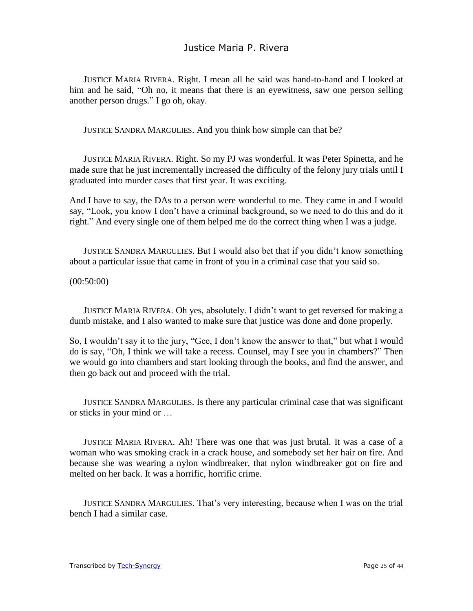JUSTICE MARIA RIVERA. Right. I mean all he said was hand-to-hand and I looked at him and he said, "Oh no, it means that there is an eyewitness, saw one person selling another person drugs." I go oh, okay.

JUSTICE SANDRA MARGULIES. And you think how simple can that be?

JUSTICE MARIA RIVERA. Right. So my PJ was wonderful. It was Peter Spinetta, and he made sure that he just incrementally increased the difficulty of the felony jury trials until I graduated into murder cases that first year. It was exciting.

And I have to say, the DAs to a person were wonderful to me. They came in and I would say, "Look, you know I don't have a criminal background, so we need to do this and do it right." And every single one of them helped me do the correct thing when I was a judge.

JUSTICE SANDRA MARGULIES. But I would also bet that if you didn't know something about a particular issue that came in front of you in a criminal case that you said so.

(00:50:00)

JUSTICE MARIA RIVERA. Oh yes, absolutely. I didn't want to get reversed for making a dumb mistake, and I also wanted to make sure that justice was done and done properly.

So, I wouldn't say it to the jury, "Gee, I don't know the answer to that," but what I would do is say, "Oh, I think we will take a recess. Counsel, may I see you in chambers?" Then we would go into chambers and start looking through the books, and find the answer, and then go back out and proceed with the trial.

JUSTICE SANDRA MARGULIES. Is there any particular criminal case that was significant or sticks in your mind or …

JUSTICE MARIA RIVERA. Ah! There was one that was just brutal. It was a case of a woman who was smoking crack in a crack house, and somebody set her hair on fire. And because she was wearing a nylon windbreaker, that nylon windbreaker got on fire and melted on her back. It was a horrific, horrific crime.

JUSTICE SANDRA MARGULIES. That's very interesting, because when I was on the trial bench I had a similar case.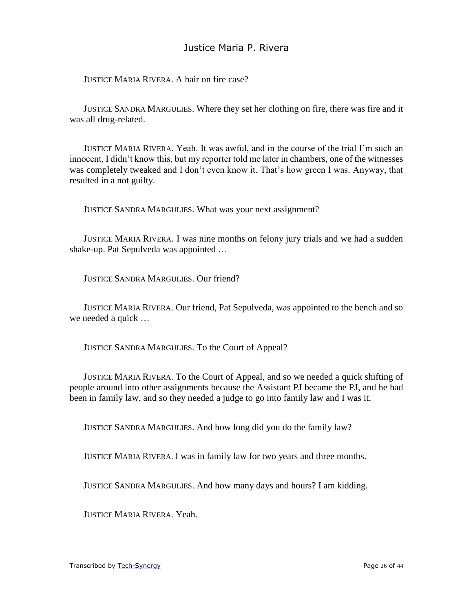JUSTICE MARIA RIVERA. A hair on fire case?

JUSTICE SANDRA MARGULIES. Where they set her clothing on fire, there was fire and it was all drug-related.

JUSTICE MARIA RIVERA. Yeah. It was awful, and in the course of the trial I'm such an innocent, I didn't know this, but my reporter told me later in chambers, one of the witnesses was completely tweaked and I don't even know it. That's how green I was. Anyway, that resulted in a not guilty.

JUSTICE SANDRA MARGULIES. What was your next assignment?

JUSTICE MARIA RIVERA. I was nine months on felony jury trials and we had a sudden shake-up. Pat Sepulveda was appointed …

JUSTICE SANDRA MARGULIES. Our friend?

JUSTICE MARIA RIVERA. Our friend, Pat Sepulveda, was appointed to the bench and so we needed a quick …

JUSTICE SANDRA MARGULIES. To the Court of Appeal?

JUSTICE MARIA RIVERA. To the Court of Appeal, and so we needed a quick shifting of people around into other assignments because the Assistant PJ became the PJ, and he had been in family law, and so they needed a judge to go into family law and I was it.

JUSTICE SANDRA MARGULIES. And how long did you do the family law?

JUSTICE MARIA RIVERA. I was in family law for two years and three months.

JUSTICE SANDRA MARGULIES. And how many days and hours? I am kidding.

JUSTICE MARIA RIVERA. Yeah.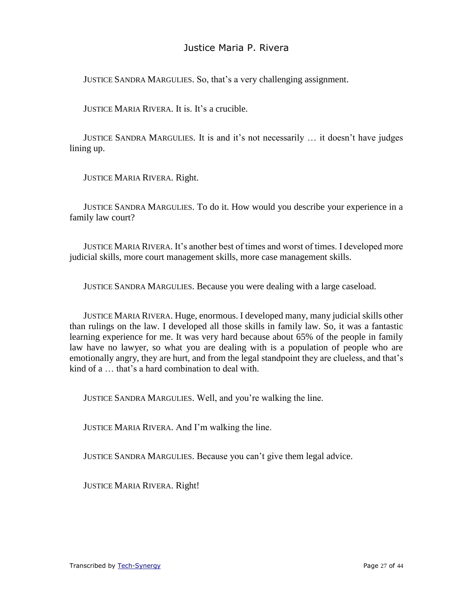JUSTICE SANDRA MARGULIES. So, that's a very challenging assignment.

JUSTICE MARIA RIVERA. It is. It's a crucible.

JUSTICE SANDRA MARGULIES. It is and it's not necessarily … it doesn't have judges lining up.

JUSTICE MARIA RIVERA. Right.

JUSTICE SANDRA MARGULIES. To do it. How would you describe your experience in a family law court?

JUSTICE MARIA RIVERA. It's another best of times and worst of times. I developed more judicial skills, more court management skills, more case management skills.

JUSTICE SANDRA MARGULIES. Because you were dealing with a large caseload.

JUSTICE MARIA RIVERA. Huge, enormous. I developed many, many judicial skills other than rulings on the law. I developed all those skills in family law. So, it was a fantastic learning experience for me. It was very hard because about 65% of the people in family law have no lawyer, so what you are dealing with is a population of people who are emotionally angry, they are hurt, and from the legal standpoint they are clueless, and that's kind of a … that's a hard combination to deal with.

JUSTICE SANDRA MARGULIES. Well, and you're walking the line.

JUSTICE MARIA RIVERA. And I'm walking the line.

JUSTICE SANDRA MARGULIES. Because you can't give them legal advice.

JUSTICE MARIA RIVERA. Right!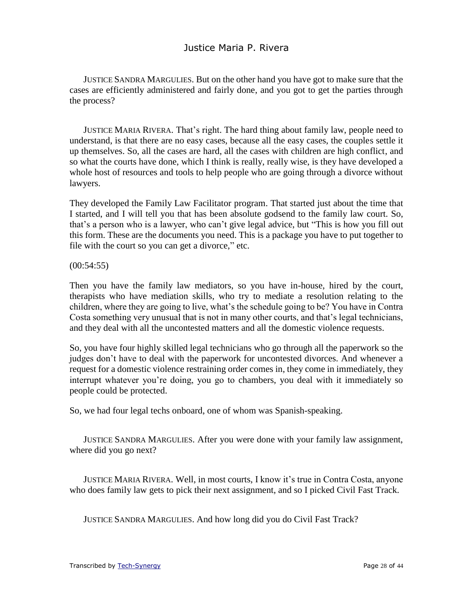JUSTICE SANDRA MARGULIES. But on the other hand you have got to make sure that the cases are efficiently administered and fairly done, and you got to get the parties through the process?

JUSTICE MARIA RIVERA. That's right. The hard thing about family law, people need to understand, is that there are no easy cases, because all the easy cases, the couples settle it up themselves. So, all the cases are hard, all the cases with children are high conflict, and so what the courts have done, which I think is really, really wise, is they have developed a whole host of resources and tools to help people who are going through a divorce without lawyers.

They developed the Family Law Facilitator program. That started just about the time that I started, and I will tell you that has been absolute godsend to the family law court. So, that's a person who is a lawyer, who can't give legal advice, but "This is how you fill out this form. These are the documents you need. This is a package you have to put together to file with the court so you can get a divorce," etc.

 $(00:54:55)$ 

Then you have the family law mediators, so you have in-house, hired by the court, therapists who have mediation skills, who try to mediate a resolution relating to the children, where they are going to live, what's the schedule going to be? You have in Contra Costa something very unusual that is not in many other courts, and that's legal technicians, and they deal with all the uncontested matters and all the domestic violence requests.

So, you have four highly skilled legal technicians who go through all the paperwork so the judges don't have to deal with the paperwork for uncontested divorces. And whenever a request for a domestic violence restraining order comes in, they come in immediately, they interrupt whatever you're doing, you go to chambers, you deal with it immediately so people could be protected.

So, we had four legal techs onboard, one of whom was Spanish-speaking.

JUSTICE SANDRA MARGULIES. After you were done with your family law assignment, where did you go next?

JUSTICE MARIA RIVERA. Well, in most courts, I know it's true in Contra Costa, anyone who does family law gets to pick their next assignment, and so I picked Civil Fast Track.

JUSTICE SANDRA MARGULIES. And how long did you do Civil Fast Track?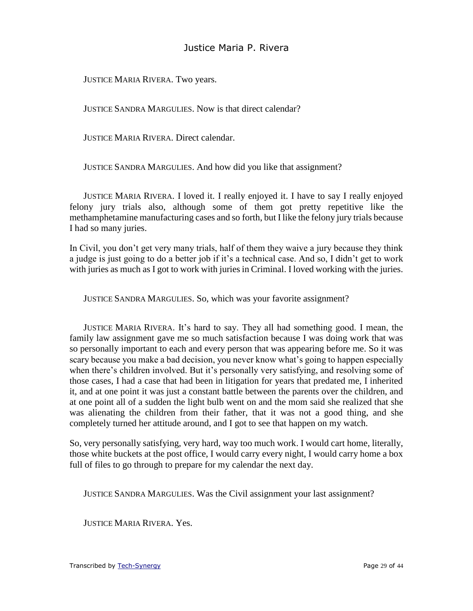JUSTICE MARIA RIVERA. Two years.

JUSTICE SANDRA MARGULIES. Now is that direct calendar?

JUSTICE MARIA RIVERA. Direct calendar.

JUSTICE SANDRA MARGULIES. And how did you like that assignment?

JUSTICE MARIA RIVERA. I loved it. I really enjoyed it. I have to say I really enjoyed felony jury trials also, although some of them got pretty repetitive like the methamphetamine manufacturing cases and so forth, but I like the felony jury trials because I had so many juries.

In Civil, you don't get very many trials, half of them they waive a jury because they think a judge is just going to do a better job if it's a technical case. And so, I didn't get to work with juries as much as I got to work with juries in Criminal. I loved working with the juries.

JUSTICE SANDRA MARGULIES. So, which was your favorite assignment?

JUSTICE MARIA RIVERA. It's hard to say. They all had something good. I mean, the family law assignment gave me so much satisfaction because I was doing work that was so personally important to each and every person that was appearing before me. So it was scary because you make a bad decision, you never know what's going to happen especially when there's children involved. But it's personally very satisfying, and resolving some of those cases, I had a case that had been in litigation for years that predated me, I inherited it, and at one point it was just a constant battle between the parents over the children, and at one point all of a sudden the light bulb went on and the mom said she realized that she was alienating the children from their father, that it was not a good thing, and she completely turned her attitude around, and I got to see that happen on my watch.

So, very personally satisfying, very hard, way too much work. I would cart home, literally, those white buckets at the post office, I would carry every night, I would carry home a box full of files to go through to prepare for my calendar the next day.

JUSTICE SANDRA MARGULIES. Was the Civil assignment your last assignment?

JUSTICE MARIA RIVERA. Yes.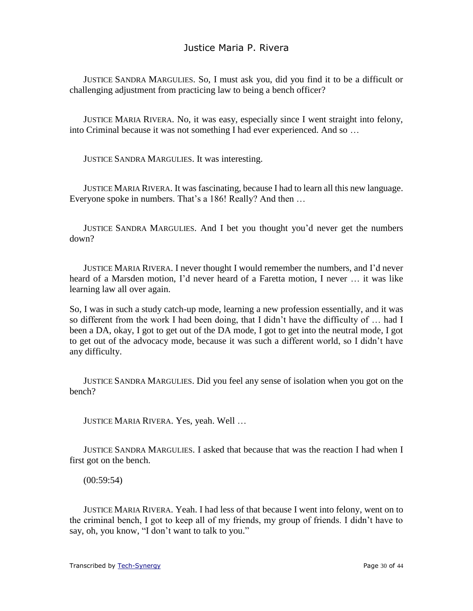JUSTICE SANDRA MARGULIES. So, I must ask you, did you find it to be a difficult or challenging adjustment from practicing law to being a bench officer?

JUSTICE MARIA RIVERA. No, it was easy, especially since I went straight into felony, into Criminal because it was not something I had ever experienced. And so …

JUSTICE SANDRA MARGULIES. It was interesting.

JUSTICE MARIA RIVERA. It was fascinating, because I had to learn all this new language. Everyone spoke in numbers. That's a 186! Really? And then …

JUSTICE SANDRA MARGULIES. And I bet you thought you'd never get the numbers down?

JUSTICE MARIA RIVERA. I never thought I would remember the numbers, and I'd never heard of a Marsden motion, I'd never heard of a Faretta motion, I never … it was like learning law all over again.

So, I was in such a study catch-up mode, learning a new profession essentially, and it was so different from the work I had been doing, that I didn't have the difficulty of … had I been a DA, okay, I got to get out of the DA mode, I got to get into the neutral mode, I got to get out of the advocacy mode, because it was such a different world, so I didn't have any difficulty.

JUSTICE SANDRA MARGULIES. Did you feel any sense of isolation when you got on the bench?

JUSTICE MARIA RIVERA. Yes, yeah. Well …

JUSTICE SANDRA MARGULIES. I asked that because that was the reaction I had when I first got on the bench.

(00:59:54)

JUSTICE MARIA RIVERA. Yeah. I had less of that because I went into felony, went on to the criminal bench, I got to keep all of my friends, my group of friends. I didn't have to say, oh, you know, "I don't want to talk to you."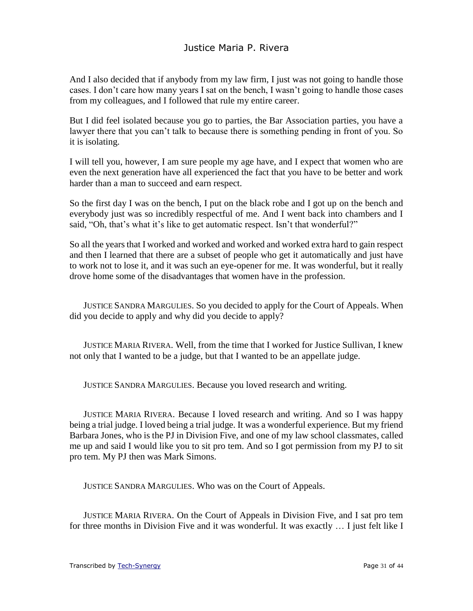And I also decided that if anybody from my law firm, I just was not going to handle those cases. I don't care how many years I sat on the bench, I wasn't going to handle those cases from my colleagues, and I followed that rule my entire career.

But I did feel isolated because you go to parties, the Bar Association parties, you have a lawyer there that you can't talk to because there is something pending in front of you. So it is isolating.

I will tell you, however, I am sure people my age have, and I expect that women who are even the next generation have all experienced the fact that you have to be better and work harder than a man to succeed and earn respect.

So the first day I was on the bench, I put on the black robe and I got up on the bench and everybody just was so incredibly respectful of me. And I went back into chambers and I said, "Oh, that's what it's like to get automatic respect. Isn't that wonderful?"

So all the years that I worked and worked and worked and worked extra hard to gain respect and then I learned that there are a subset of people who get it automatically and just have to work not to lose it, and it was such an eye-opener for me. It was wonderful, but it really drove home some of the disadvantages that women have in the profession.

JUSTICE SANDRA MARGULIES. So you decided to apply for the Court of Appeals. When did you decide to apply and why did you decide to apply?

JUSTICE MARIA RIVERA. Well, from the time that I worked for Justice Sullivan, I knew not only that I wanted to be a judge, but that I wanted to be an appellate judge.

JUSTICE SANDRA MARGULIES. Because you loved research and writing.

JUSTICE MARIA RIVERA. Because I loved research and writing. And so I was happy being a trial judge. I loved being a trial judge. It was a wonderful experience. But my friend Barbara Jones, who is the PJ in Division Five, and one of my law school classmates, called me up and said I would like you to sit pro tem. And so I got permission from my PJ to sit pro tem. My PJ then was Mark Simons.

JUSTICE SANDRA MARGULIES. Who was on the Court of Appeals.

JUSTICE MARIA RIVERA. On the Court of Appeals in Division Five, and I sat pro tem for three months in Division Five and it was wonderful. It was exactly … I just felt like I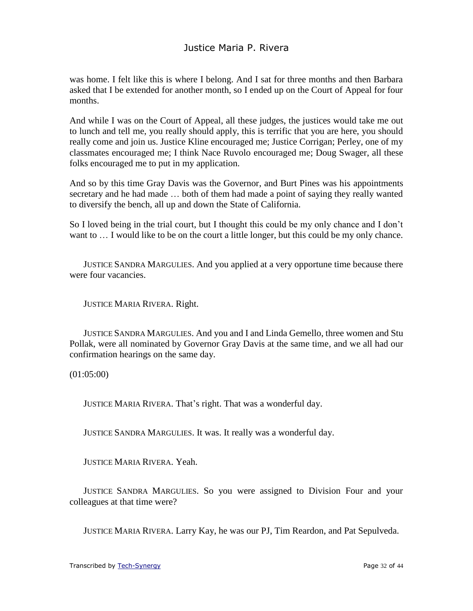was home. I felt like this is where I belong. And I sat for three months and then Barbara asked that I be extended for another month, so I ended up on the Court of Appeal for four months.

And while I was on the Court of Appeal, all these judges, the justices would take me out to lunch and tell me, you really should apply, this is terrific that you are here, you should really come and join us. Justice Kline encouraged me; Justice Corrigan; Perley, one of my classmates encouraged me; I think Nace Ruvolo encouraged me; Doug Swager, all these folks encouraged me to put in my application.

And so by this time Gray Davis was the Governor, and Burt Pines was his appointments secretary and he had made … both of them had made a point of saying they really wanted to diversify the bench, all up and down the State of California.

So I loved being in the trial court, but I thought this could be my only chance and I don't want to ... I would like to be on the court a little longer, but this could be my only chance.

JUSTICE SANDRA MARGULIES. And you applied at a very opportune time because there were four vacancies.

JUSTICE MARIA RIVERA. Right.

JUSTICE SANDRA MARGULIES. And you and I and Linda Gemello, three women and Stu Pollak, were all nominated by Governor Gray Davis at the same time, and we all had our confirmation hearings on the same day.

(01:05:00)

JUSTICE MARIA RIVERA. That's right. That was a wonderful day.

JUSTICE SANDRA MARGULIES. It was. It really was a wonderful day.

JUSTICE MARIA RIVERA. Yeah.

JUSTICE SANDRA MARGULIES. So you were assigned to Division Four and your colleagues at that time were?

JUSTICE MARIA RIVERA. Larry Kay, he was our PJ, Tim Reardon, and Pat Sepulveda.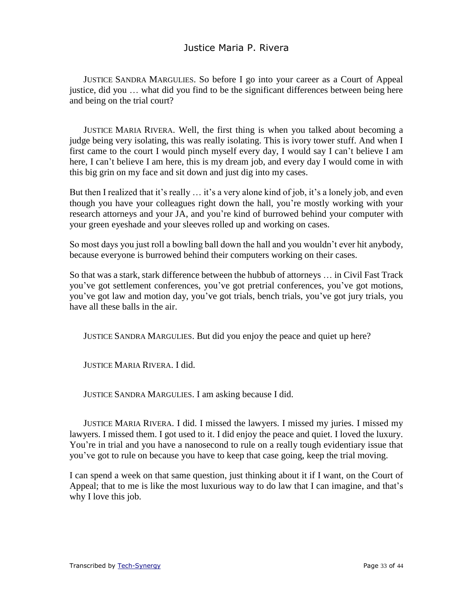JUSTICE SANDRA MARGULIES. So before I go into your career as a Court of Appeal justice, did you … what did you find to be the significant differences between being here and being on the trial court?

JUSTICE MARIA RIVERA. Well, the first thing is when you talked about becoming a judge being very isolating, this was really isolating. This is ivory tower stuff. And when I first came to the court I would pinch myself every day, I would say I can't believe I am here, I can't believe I am here, this is my dream job, and every day I would come in with this big grin on my face and sit down and just dig into my cases.

But then I realized that it's really ... it's a very alone kind of job, it's a lonely job, and even though you have your colleagues right down the hall, you're mostly working with your research attorneys and your JA, and you're kind of burrowed behind your computer with your green eyeshade and your sleeves rolled up and working on cases.

So most days you just roll a bowling ball down the hall and you wouldn't ever hit anybody, because everyone is burrowed behind their computers working on their cases.

So that was a stark, stark difference between the hubbub of attorneys … in Civil Fast Track you've got settlement conferences, you've got pretrial conferences, you've got motions, you've got law and motion day, you've got trials, bench trials, you've got jury trials, you have all these balls in the air.

JUSTICE SANDRA MARGULIES. But did you enjoy the peace and quiet up here?

JUSTICE MARIA RIVERA. I did.

JUSTICE SANDRA MARGULIES. I am asking because I did.

JUSTICE MARIA RIVERA. I did. I missed the lawyers. I missed my juries. I missed my lawyers. I missed them. I got used to it. I did enjoy the peace and quiet. I loved the luxury. You're in trial and you have a nanosecond to rule on a really tough evidentiary issue that you've got to rule on because you have to keep that case going, keep the trial moving.

I can spend a week on that same question, just thinking about it if I want, on the Court of Appeal; that to me is like the most luxurious way to do law that I can imagine, and that's why I love this job.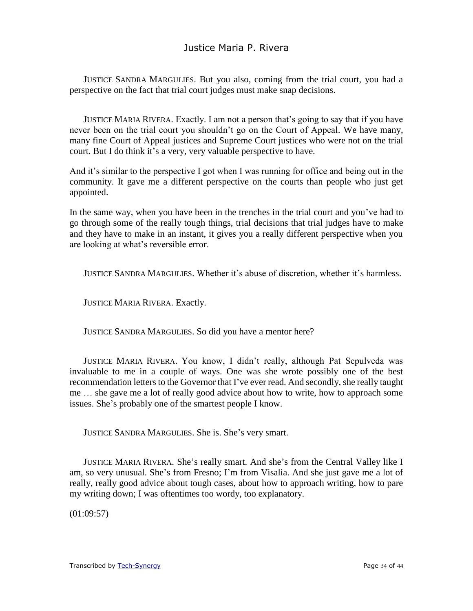JUSTICE SANDRA MARGULIES. But you also, coming from the trial court, you had a perspective on the fact that trial court judges must make snap decisions.

JUSTICE MARIA RIVERA. Exactly. I am not a person that's going to say that if you have never been on the trial court you shouldn't go on the Court of Appeal. We have many, many fine Court of Appeal justices and Supreme Court justices who were not on the trial court. But I do think it's a very, very valuable perspective to have.

And it's similar to the perspective I got when I was running for office and being out in the community. It gave me a different perspective on the courts than people who just get appointed.

In the same way, when you have been in the trenches in the trial court and you've had to go through some of the really tough things, trial decisions that trial judges have to make and they have to make in an instant, it gives you a really different perspective when you are looking at what's reversible error.

JUSTICE SANDRA MARGULIES. Whether it's abuse of discretion, whether it's harmless.

JUSTICE MARIA RIVERA. Exactly.

JUSTICE SANDRA MARGULIES. So did you have a mentor here?

JUSTICE MARIA RIVERA. You know, I didn't really, although Pat Sepulveda was invaluable to me in a couple of ways. One was she wrote possibly one of the best recommendation letters to the Governor that I've ever read. And secondly, she really taught me … she gave me a lot of really good advice about how to write, how to approach some issues. She's probably one of the smartest people I know.

JUSTICE SANDRA MARGULIES. She is. She's very smart.

JUSTICE MARIA RIVERA. She's really smart. And she's from the Central Valley like I am, so very unusual. She's from Fresno; I'm from Visalia. And she just gave me a lot of really, really good advice about tough cases, about how to approach writing, how to pare my writing down; I was oftentimes too wordy, too explanatory.

(01:09:57)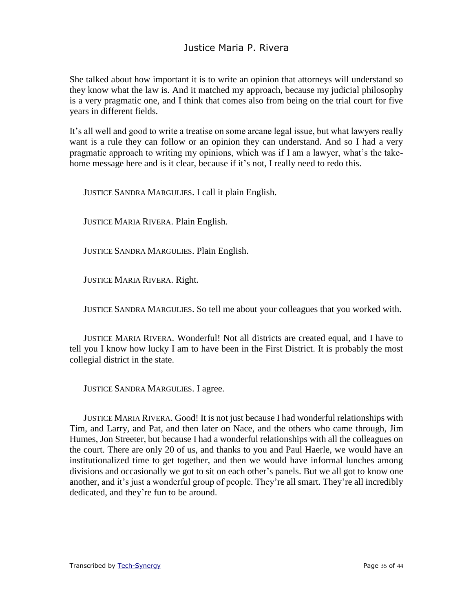She talked about how important it is to write an opinion that attorneys will understand so they know what the law is. And it matched my approach, because my judicial philosophy is a very pragmatic one, and I think that comes also from being on the trial court for five years in different fields.

It's all well and good to write a treatise on some arcane legal issue, but what lawyers really want is a rule they can follow or an opinion they can understand. And so I had a very pragmatic approach to writing my opinions, which was if I am a lawyer, what's the takehome message here and is it clear, because if it's not, I really need to redo this.

JUSTICE SANDRA MARGULIES. I call it plain English.

JUSTICE MARIA RIVERA. Plain English.

JUSTICE SANDRA MARGULIES. Plain English.

JUSTICE MARIA RIVERA. Right.

JUSTICE SANDRA MARGULIES. So tell me about your colleagues that you worked with.

JUSTICE MARIA RIVERA. Wonderful! Not all districts are created equal, and I have to tell you I know how lucky I am to have been in the First District. It is probably the most collegial district in the state.

JUSTICE SANDRA MARGULIES. I agree.

JUSTICE MARIA RIVERA. Good! It is not just because I had wonderful relationships with Tim, and Larry, and Pat, and then later on Nace, and the others who came through, Jim Humes, Jon Streeter, but because I had a wonderful relationships with all the colleagues on the court. There are only 20 of us, and thanks to you and Paul Haerle, we would have an institutionalized time to get together, and then we would have informal lunches among divisions and occasionally we got to sit on each other's panels. But we all got to know one another, and it's just a wonderful group of people. They're all smart. They're all incredibly dedicated, and they're fun to be around.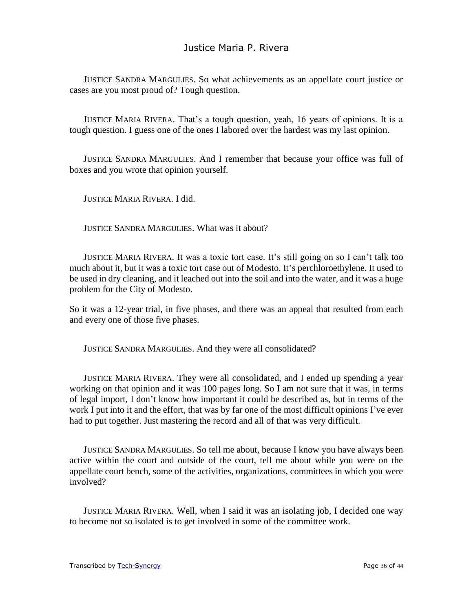JUSTICE SANDRA MARGULIES. So what achievements as an appellate court justice or cases are you most proud of? Tough question.

JUSTICE MARIA RIVERA. That's a tough question, yeah, 16 years of opinions. It is a tough question. I guess one of the ones I labored over the hardest was my last opinion.

JUSTICE SANDRA MARGULIES. And I remember that because your office was full of boxes and you wrote that opinion yourself.

JUSTICE MARIA RIVERA. I did.

JUSTICE SANDRA MARGULIES. What was it about?

JUSTICE MARIA RIVERA. It was a toxic tort case. It's still going on so I can't talk too much about it, but it was a toxic tort case out of Modesto. It's perchloroethylene. It used to be used in dry cleaning, and it leached out into the soil and into the water, and it was a huge problem for the City of Modesto.

So it was a 12-year trial, in five phases, and there was an appeal that resulted from each and every one of those five phases.

JUSTICE SANDRA MARGULIES. And they were all consolidated?

JUSTICE MARIA RIVERA. They were all consolidated, and I ended up spending a year working on that opinion and it was 100 pages long. So I am not sure that it was, in terms of legal import, I don't know how important it could be described as, but in terms of the work I put into it and the effort, that was by far one of the most difficult opinions I've ever had to put together. Just mastering the record and all of that was very difficult.

JUSTICE SANDRA MARGULIES. So tell me about, because I know you have always been active within the court and outside of the court, tell me about while you were on the appellate court bench, some of the activities, organizations, committees in which you were involved?

JUSTICE MARIA RIVERA. Well, when I said it was an isolating job, I decided one way to become not so isolated is to get involved in some of the committee work.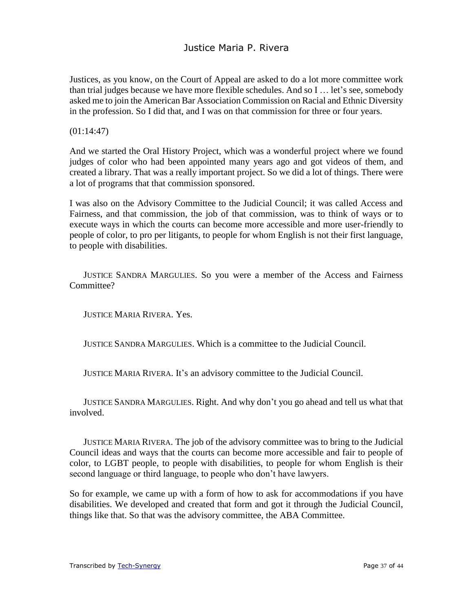Justices, as you know, on the Court of Appeal are asked to do a lot more committee work than trial judges because we have more flexible schedules. And so I … let's see, somebody asked me to join the American Bar Association Commission on Racial and Ethnic Diversity in the profession. So I did that, and I was on that commission for three or four years.

(01:14:47)

And we started the Oral History Project, which was a wonderful project where we found judges of color who had been appointed many years ago and got videos of them, and created a library. That was a really important project. So we did a lot of things. There were a lot of programs that that commission sponsored.

I was also on the Advisory Committee to the Judicial Council; it was called Access and Fairness, and that commission, the job of that commission, was to think of ways or to execute ways in which the courts can become more accessible and more user-friendly to people of color, to pro per litigants, to people for whom English is not their first language, to people with disabilities.

JUSTICE SANDRA MARGULIES. So you were a member of the Access and Fairness Committee?

JUSTICE MARIA RIVERA. Yes.

JUSTICE SANDRA MARGULIES. Which is a committee to the Judicial Council.

JUSTICE MARIA RIVERA. It's an advisory committee to the Judicial Council.

JUSTICE SANDRA MARGULIES. Right. And why don't you go ahead and tell us what that involved.

JUSTICE MARIA RIVERA. The job of the advisory committee was to bring to the Judicial Council ideas and ways that the courts can become more accessible and fair to people of color, to LGBT people, to people with disabilities, to people for whom English is their second language or third language, to people who don't have lawyers.

So for example, we came up with a form of how to ask for accommodations if you have disabilities. We developed and created that form and got it through the Judicial Council, things like that. So that was the advisory committee, the ABA Committee.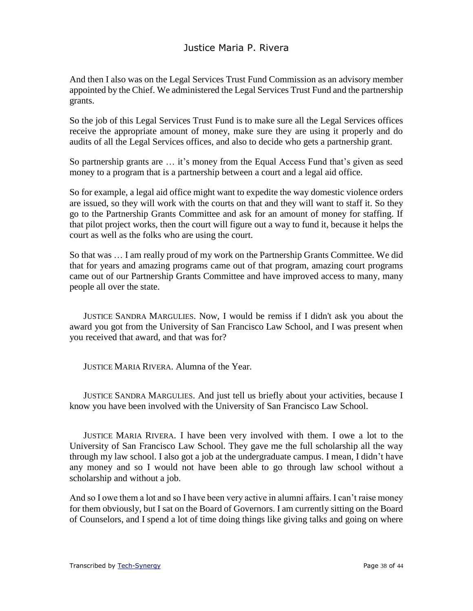And then I also was on the Legal Services Trust Fund Commission as an advisory member appointed by the Chief. We administered the Legal Services Trust Fund and the partnership grants.

So the job of this Legal Services Trust Fund is to make sure all the Legal Services offices receive the appropriate amount of money, make sure they are using it properly and do audits of all the Legal Services offices, and also to decide who gets a partnership grant.

So partnership grants are … it's money from the Equal Access Fund that's given as seed money to a program that is a partnership between a court and a legal aid office.

So for example, a legal aid office might want to expedite the way domestic violence orders are issued, so they will work with the courts on that and they will want to staff it. So they go to the Partnership Grants Committee and ask for an amount of money for staffing. If that pilot project works, then the court will figure out a way to fund it, because it helps the court as well as the folks who are using the court.

So that was … I am really proud of my work on the Partnership Grants Committee. We did that for years and amazing programs came out of that program, amazing court programs came out of our Partnership Grants Committee and have improved access to many, many people all over the state.

JUSTICE SANDRA MARGULIES. Now, I would be remiss if I didn't ask you about the award you got from the University of San Francisco Law School, and I was present when you received that award, and that was for?

JUSTICE MARIA RIVERA. Alumna of the Year.

JUSTICE SANDRA MARGULIES. And just tell us briefly about your activities, because I know you have been involved with the University of San Francisco Law School.

JUSTICE MARIA RIVERA. I have been very involved with them. I owe a lot to the University of San Francisco Law School. They gave me the full scholarship all the way through my law school. I also got a job at the undergraduate campus. I mean, I didn't have any money and so I would not have been able to go through law school without a scholarship and without a job.

And so I owe them a lot and so I have been very active in alumni affairs. I can't raise money for them obviously, but I sat on the Board of Governors. I am currently sitting on the Board of Counselors, and I spend a lot of time doing things like giving talks and going on where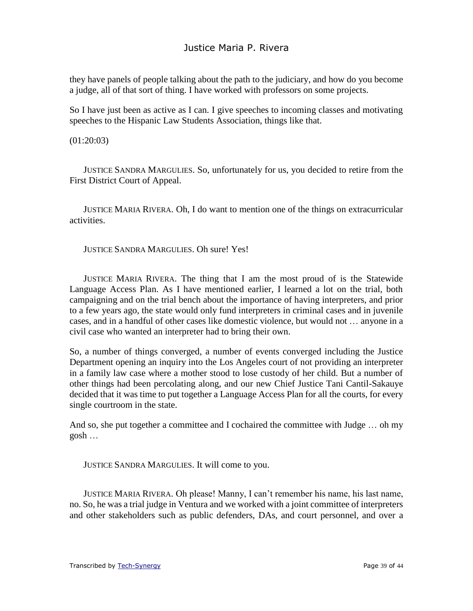they have panels of people talking about the path to the judiciary, and how do you become a judge, all of that sort of thing. I have worked with professors on some projects.

So I have just been as active as I can. I give speeches to incoming classes and motivating speeches to the Hispanic Law Students Association, things like that.

#### (01:20:03)

JUSTICE SANDRA MARGULIES. So, unfortunately for us, you decided to retire from the First District Court of Appeal.

JUSTICE MARIA RIVERA. Oh, I do want to mention one of the things on extracurricular activities.

JUSTICE SANDRA MARGULIES. Oh sure! Yes!

JUSTICE MARIA RIVERA. The thing that I am the most proud of is the Statewide Language Access Plan. As I have mentioned earlier, I learned a lot on the trial, both campaigning and on the trial bench about the importance of having interpreters, and prior to a few years ago, the state would only fund interpreters in criminal cases and in juvenile cases, and in a handful of other cases like domestic violence, but would not … anyone in a civil case who wanted an interpreter had to bring their own.

So, a number of things converged, a number of events converged including the Justice Department opening an inquiry into the Los Angeles court of not providing an interpreter in a family law case where a mother stood to lose custody of her child. But a number of other things had been percolating along, and our new Chief Justice Tani Cantil-Sakauye decided that it was time to put together a Language Access Plan for all the courts, for every single courtroom in the state.

And so, she put together a committee and I cochaired the committee with Judge … oh my gosh …

JUSTICE SANDRA MARGULIES. It will come to you.

JUSTICE MARIA RIVERA. Oh please! Manny, I can't remember his name, his last name, no. So, he was a trial judge in Ventura and we worked with a joint committee of interpreters and other stakeholders such as public defenders, DAs, and court personnel, and over a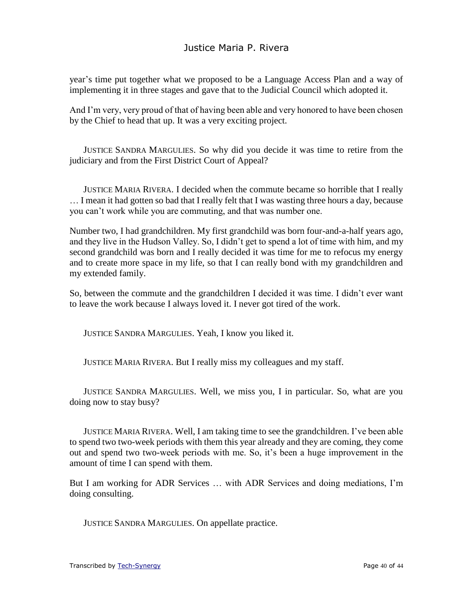year's time put together what we proposed to be a Language Access Plan and a way of implementing it in three stages and gave that to the Judicial Council which adopted it.

And I'm very, very proud of that of having been able and very honored to have been chosen by the Chief to head that up. It was a very exciting project.

JUSTICE SANDRA MARGULIES. So why did you decide it was time to retire from the judiciary and from the First District Court of Appeal?

JUSTICE MARIA RIVERA. I decided when the commute became so horrible that I really … I mean it had gotten so bad that I really felt that I was wasting three hours a day, because you can't work while you are commuting, and that was number one.

Number two, I had grandchildren. My first grandchild was born four-and-a-half years ago, and they live in the Hudson Valley. So, I didn't get to spend a lot of time with him, and my second grandchild was born and I really decided it was time for me to refocus my energy and to create more space in my life, so that I can really bond with my grandchildren and my extended family.

So, between the commute and the grandchildren I decided it was time. I didn't ever want to leave the work because I always loved it. I never got tired of the work.

JUSTICE SANDRA MARGULIES. Yeah, I know you liked it.

JUSTICE MARIA RIVERA. But I really miss my colleagues and my staff.

JUSTICE SANDRA MARGULIES. Well, we miss you, I in particular. So, what are you doing now to stay busy?

JUSTICE MARIA RIVERA. Well, I am taking time to see the grandchildren. I've been able to spend two two-week periods with them this year already and they are coming, they come out and spend two two-week periods with me. So, it's been a huge improvement in the amount of time I can spend with them.

But I am working for ADR Services … with ADR Services and doing mediations, I'm doing consulting.

JUSTICE SANDRA MARGULIES. On appellate practice.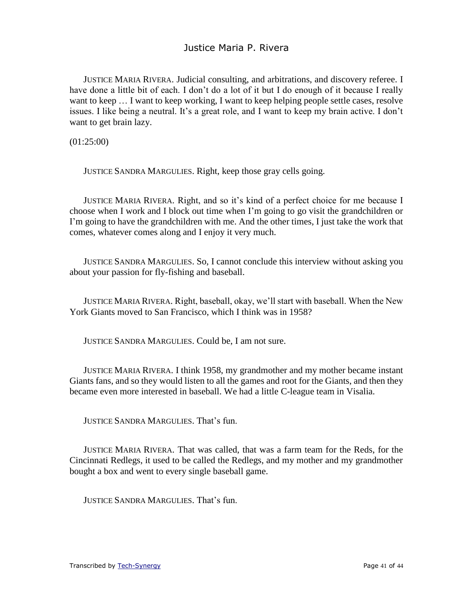JUSTICE MARIA RIVERA. Judicial consulting, and arbitrations, and discovery referee. I have done a little bit of each. I don't do a lot of it but I do enough of it because I really want to keep … I want to keep working, I want to keep helping people settle cases, resolve issues. I like being a neutral. It's a great role, and I want to keep my brain active. I don't want to get brain lazy.

(01:25:00)

JUSTICE SANDRA MARGULIES. Right, keep those gray cells going.

JUSTICE MARIA RIVERA. Right, and so it's kind of a perfect choice for me because I choose when I work and I block out time when I'm going to go visit the grandchildren or I'm going to have the grandchildren with me. And the other times, I just take the work that comes, whatever comes along and I enjoy it very much.

JUSTICE SANDRA MARGULIES. So, I cannot conclude this interview without asking you about your passion for fly-fishing and baseball.

JUSTICE MARIA RIVERA. Right, baseball, okay, we'll start with baseball. When the New York Giants moved to San Francisco, which I think was in 1958?

JUSTICE SANDRA MARGULIES. Could be, I am not sure.

JUSTICE MARIA RIVERA. I think 1958, my grandmother and my mother became instant Giants fans, and so they would listen to all the games and root for the Giants, and then they became even more interested in baseball. We had a little C-league team in Visalia.

JUSTICE SANDRA MARGULIES. That's fun.

JUSTICE MARIA RIVERA. That was called, that was a farm team for the Reds, for the Cincinnati Redlegs, it used to be called the Redlegs, and my mother and my grandmother bought a box and went to every single baseball game.

JUSTICE SANDRA MARGULIES. That's fun.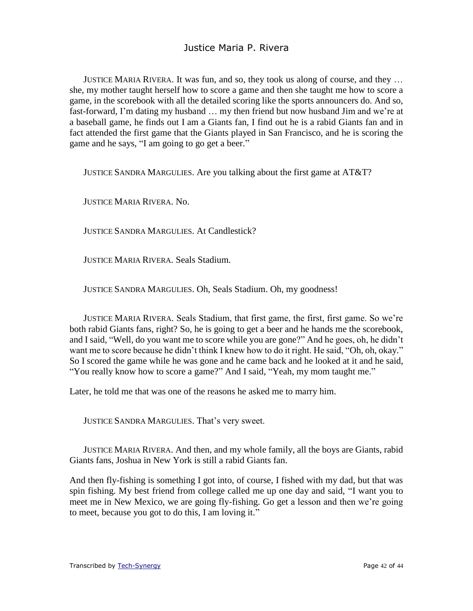JUSTICE MARIA RIVERA. It was fun, and so, they took us along of course, and they … she, my mother taught herself how to score a game and then she taught me how to score a game, in the scorebook with all the detailed scoring like the sports announcers do. And so, fast-forward, I'm dating my husband … my then friend but now husband Jim and we're at a baseball game, he finds out I am a Giants fan, I find out he is a rabid Giants fan and in fact attended the first game that the Giants played in San Francisco, and he is scoring the game and he says, "I am going to go get a beer."

JUSTICE SANDRA MARGULIES. Are you talking about the first game at AT&T?

JUSTICE MARIA RIVERA. No.

JUSTICE SANDRA MARGULIES. At Candlestick?

JUSTICE MARIA RIVERA. Seals Stadium.

JUSTICE SANDRA MARGULIES. Oh, Seals Stadium. Oh, my goodness!

JUSTICE MARIA RIVERA. Seals Stadium, that first game, the first, first game. So we're both rabid Giants fans, right? So, he is going to get a beer and he hands me the scorebook, and I said, "Well, do you want me to score while you are gone?" And he goes, oh, he didn't want me to score because he didn't think I knew how to do it right. He said, "Oh, oh, okay." So I scored the game while he was gone and he came back and he looked at it and he said, "You really know how to score a game?" And I said, "Yeah, my mom taught me."

Later, he told me that was one of the reasons he asked me to marry him.

JUSTICE SANDRA MARGULIES. That's very sweet.

JUSTICE MARIA RIVERA. And then, and my whole family, all the boys are Giants, rabid Giants fans, Joshua in New York is still a rabid Giants fan.

And then fly-fishing is something I got into, of course, I fished with my dad, but that was spin fishing. My best friend from college called me up one day and said, "I want you to meet me in New Mexico, we are going fly-fishing. Go get a lesson and then we're going to meet, because you got to do this, I am loving it."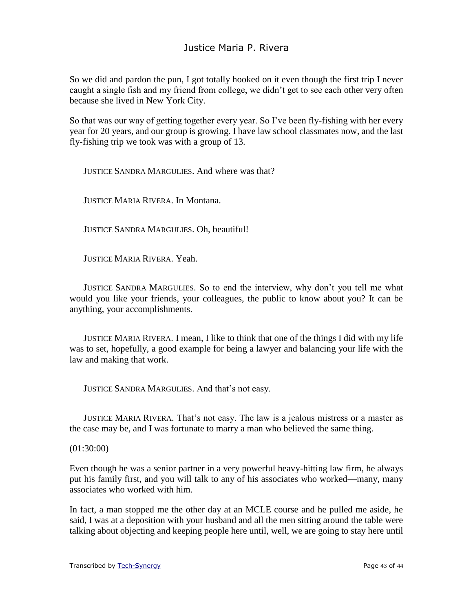So we did and pardon the pun, I got totally hooked on it even though the first trip I never caught a single fish and my friend from college, we didn't get to see each other very often because she lived in New York City.

So that was our way of getting together every year. So I've been fly-fishing with her every year for 20 years, and our group is growing. I have law school classmates now, and the last fly-fishing trip we took was with a group of 13.

JUSTICE SANDRA MARGULIES. And where was that?

JUSTICE MARIA RIVERA. In Montana.

JUSTICE SANDRA MARGULIES. Oh, beautiful!

JUSTICE MARIA RIVERA. Yeah.

JUSTICE SANDRA MARGULIES. So to end the interview, why don't you tell me what would you like your friends, your colleagues, the public to know about you? It can be anything, your accomplishments.

JUSTICE MARIA RIVERA. I mean, I like to think that one of the things I did with my life was to set, hopefully, a good example for being a lawyer and balancing your life with the law and making that work.

JUSTICE SANDRA MARGULIES. And that's not easy.

JUSTICE MARIA RIVERA. That's not easy. The law is a jealous mistress or a master as the case may be, and I was fortunate to marry a man who believed the same thing.

(01:30:00)

Even though he was a senior partner in a very powerful heavy-hitting law firm, he always put his family first, and you will talk to any of his associates who worked—many, many associates who worked with him.

In fact, a man stopped me the other day at an MCLE course and he pulled me aside, he said, I was at a deposition with your husband and all the men sitting around the table were talking about objecting and keeping people here until, well, we are going to stay here until